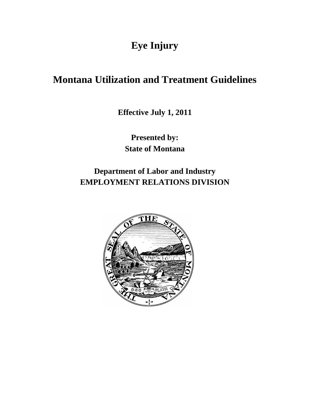# **Eye Injury**

## **Montana Utilization and Treatment Guidelines**

**Effective July 1, 2011** 

**Presented by: State of Montana**

**Department of Labor and Industry EMPLOYMENT RELATIONS DIVISION**

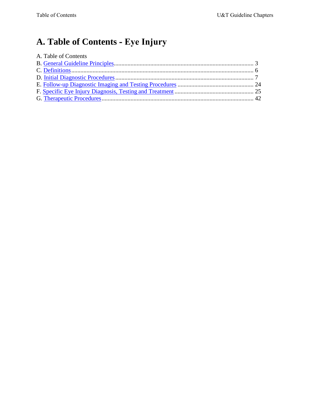# <span id="page-1-0"></span>**A. Table of Contents - Eye Injury**

| A. Table of Contents |  |
|----------------------|--|
|                      |  |
|                      |  |
|                      |  |
|                      |  |
|                      |  |
|                      |  |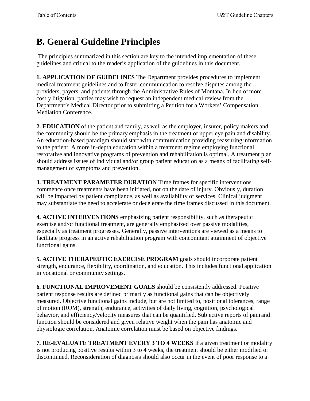# <span id="page-2-0"></span>**B. General Guideline Principles**

The principles summarized in this section are key to the intended implementation of these guidelines and critical to the reader's application of the guidelines in this document.

**1. APPLICATION OF GUIDELINES** The Department provides procedures to implement medical treatment guidelines and to foster communication to resolve disputes among the providers, payers, and patients through the Administrative Rules of Montana. In lieu of more costly litigation, parties may wish to request an independent medical review from the Department's Medical Director prior to submitting a Petition for a Workers' Compensation Mediation Conference.

**2. EDUCATION** of the patient and family, as well as the employer, insurer, policy makers and the community should be the primary emphasis in the treatment of upper eye pain and disability. An education-based paradigm should start with communication providing reassuring information to the patient. A more in-depth education within a treatment regime employing functional restorative and innovative programs of prevention and rehabilitation is optimal. A treatment plan should address issues of individual and/or group patient education as a means of facilitating selfmanagement of symptoms and prevention.

**3. TREATMENT PARAMETER DURATION** Time frames for specific interventions commence once treatments have been initiated, not on the date of injury. Obviously, duration will be impacted by patient compliance, as well as availability of services. Clinical judgment may substantiate the need to accelerate or decelerate the time frames discussed in this document.

**4. ACTIVE INTERVENTIONS** emphasizing patient responsibility, such as therapeutic exercise and/or functional treatment, are generally emphasized over passive modalities, especially as treatment progresses. Generally, passive interventions are viewed as a means to facilitate progress in an active rehabilitation program with concomitant attainment of objective functional gains.

**5. ACTIVE THERAPEUTIC EXERCISE PROGRAM** goals should incorporate patient strength, endurance, flexibility, coordination, and education. This includes functional application in vocational or community settings.

**6. FUNCTIONAL IMPROVEMENT GOALS** should be consistently addressed. Positive patient response results are defined primarily as functional gains that can be objectively measured. Objective functional gains include, but are not limited to, positional tolerances, range of motion (ROM), strength, endurance, activities of daily living, cognition, psychological behavior, and efficiency/velocity measures that can be quantified. Subjective reports of pain and function should be considered and given relative weight when the pain has anatomic and physiologic correlation. Anatomic correlation must be based on objective findings.

**7. RE-EVALUATE TREATMENT EVERY 3 TO 4 WEEKS** If a given treatment or modality is not producing positive results within 3 to 4 weeks, the treatment should be either modified or discontinued. Reconsideration of diagnosis should also occur in the event of poor response to a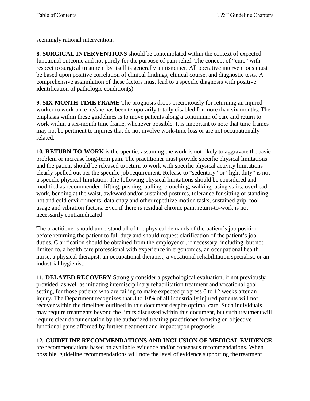seemingly rational intervention.

**8. SURGICAL INTERVENTIONS** should be contemplated within the context of expected functional outcome and not purely for the purpose of pain relief. The concept of "cure" with respect to surgical treatment by itself is generally a misnomer. All operative interventions must be based upon positive correlation of clinical findings, clinical course, and diagnostic tests. A comprehensive assimilation of these factors must lead to a specific diagnosis with positive identification of pathologic condition(s).

**9. SIX-MONTH TIME FRAME** The prognosis drops precipitously for returning an injured worker to work once he/she has been temporarily totally disabled for more than six months. The emphasis within these guidelines is to move patients along a continuum of care and return to work within a six-month time frame, whenever possible. It is important to note that time frames may not be pertinent to injuries that do not involve work-time loss or are not occupationally related.

**10. RETURN-TO-WORK** is therapeutic, assuming the work is not likely to aggravate the basic problem or increase long-term pain. The practitioner must provide specific physical limitations and the patient should be released to return to work with specific physical activity limitations clearly spelled out per the specific job requirement. Release to "sedentary" or "light duty" is not a specific physical limitation. The following physical limitations should be considered and modified as recommended: lifting, pushing, pulling, crouching, walking, using stairs, overhead work, bending at the waist, awkward and/or sustained postures, tolerance for sitting or standing, hot and cold environments, data entry and other repetitive motion tasks, sustained grip, tool usage and vibration factors. Even if there is residual chronic pain, return-to-work is not necessarily contraindicated.

The practitioner should understand all of the physical demands of the patient's job position before returning the patient to full duty and should request clarification of the patient's job duties. Clarification should be obtained from the employer or, if necessary, including, but not limited to, a health care professional with experience in ergonomics, an occupational health nurse, a physical therapist, an occupational therapist, a vocational rehabilitation specialist, or an industrial hygienist.

**11. DELAYED RECOVERY** Strongly consider a psychological evaluation, if not previously provided, as well as initiating interdisciplinary rehabilitation treatment and vocational goal setting, for those patients who are failing to make expected progress 6 to 12 weeks after an injury. The Department recognizes that 3 to 10% of all industrially injured patients will not recover within the timelines outlined in this document despite optimal care. Such individuals may require treatments beyond the limits discussed within this document, but such treatment will require clear documentation by the authorized treating practitioner focusing on objective functional gains afforded by further treatment and impact upon prognosis.

## **12. GUIDELINE RECOMMENDATIONS AND INCLUSION OF MEDICAL EVIDENCE**

are recommendations based on available evidence and/or consensus recommendations. When possible, guideline recommendations will note the level of evidence supporting the treatment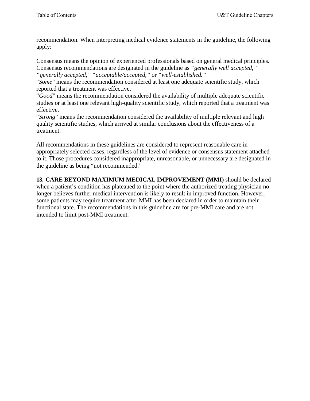recommendation. When interpreting medical evidence statements in the guideline, the following apply:

Consensus means the opinion of experienced professionals based on general medical principles. Consensus recommendations are designated in the guideline as *"generally well accepted," "generally accepted," "acceptable/accepted,"* or *"well-established."* 

"*Some*" means the recommendation considered at least one adequate scientific study, which reported that a treatment was effective.

"*Good*" means the recommendation considered the availability of multiple adequate scientific studies or at least one relevant high-quality scientific study, which reported that a treatment was effective.

"*Strong*" means the recommendation considered the availability of multiple relevant and high quality scientific studies, which arrived at similar conclusions about the effectiveness of a treatment.

All recommendations in these guidelines are considered to represent reasonable care in appropriately selected cases, regardless of the level of evidence or consensus statement attached to it. Those procedures considered inappropriate, unreasonable, or unnecessary are designated in the guideline as being "not recommended."

**13. CARE BEYOND MAXIMUM MEDICAL IMPROVEMENT (MMI)** should be declared when a patient's condition has plateaued to the point where the authorized treating physician no longer believes further medical intervention is likely to result in improved function. However, some patients may require treatment after MMI has been declared in order to maintain their functional state. The recommendations in this guideline are for pre-MMI care and are not intended to limit post-MMI treatment.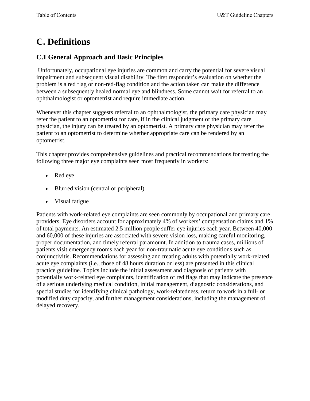# <span id="page-5-0"></span>**C. Definitions**

## **C.1 General Approach and Basic Principles**

Unfortunately, occupational eye injuries are common and carry the potential for severe visual impairment and subsequent visual disability. The first responder's evaluation on whether the problem is a red flag or non-red-flag condition and the action taken can make the difference between a subsequently healed normal eye and blindness. Some cannot wait for referral to an ophthalmologist or optometrist and require immediate action.

Whenever this chapter suggests referral to an ophthalmologist, the primary care physician may refer the patient to an optometrist for care, if in the clinical judgment of the primary care physician, the injury can be treated by an optometrist. A primary care physician may refer the patient to an optometrist to determine whether appropriate care can be rendered by an optometrist.

This chapter provides comprehensive guidelines and practical recommendations for treating the following three major eye complaints seen most frequently in workers:

- Red eye
- Blurred vision (central or peripheral)
- Visual fatigue

Patients with work-related eye complaints are seen commonly by occupational and primary care providers. Eye disorders account for approximately 4% of workers' compensation claims and 1% of total payments. An estimated 2.5 million people suffer eye injuries each year. Between 40,000 and 60,000 of these injuries are associated with severe vision loss, making careful monitoring, proper documentation, and timely referral paramount. In addition to trauma cases, millions of patients visit emergency rooms each year for non-traumatic acute eye conditions such as conjunctivitis. Recommendations for assessing and treating adults with potentially work-related acute eye complaints (i.e., those of 48 hours duration or less) are presented in this clinical practice guideline. Topics include the initial assessment and diagnosis of patients with potentially work-related eye complaints, identification of red flags that may indicate the presence of a serious underlying medical condition, initial management, diagnostic considerations, and special studies for identifying clinical pathology, work-relatedness, return to work in a full- or modified duty capacity, and further management considerations, including the management of delayed recovery.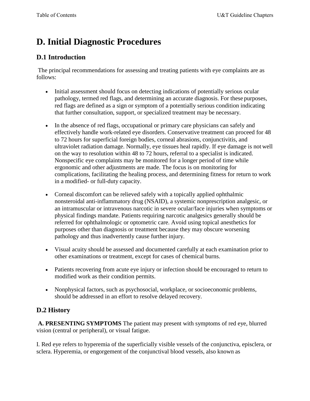# <span id="page-6-0"></span>**D. Initial Diagnostic Procedures**

## **D.1 Introduction**

The principal recommendations for assessing and treating patients with eye complaints are as follows:

- Initial assessment should focus on detecting indications of potentially serious ocular pathology, termed red flags, and determining an accurate diagnosis. For these purposes, red flags are defined as a sign or symptom of a potentially serious condition indicating that further consultation, support, or specialized treatment may be necessary.
- In the absence of red flags, occupational or primary care physicians can safely and effectively handle work-related eye disorders. Conservative treatment can proceed for 48 to 72 hours for superficial foreign bodies, corneal abrasions, conjunctivitis, and ultraviolet radiation damage. Normally, eye tissues heal rapidly. If eye damage is not well on the way to resolution within 48 to 72 hours, referral to a specialist is indicated. Nonspecific eye complaints may be monitored for a longer period of time while ergonomic and other adjustments are made. The focus is on monitoring for complications, facilitating the healing process, and determining fitness for return to work in a modified- or full-duty capacity.
- Corneal discomfort can be relieved safely with a topically applied ophthalmic nonsteroidal anti-inflammatory drug (NSAID), a systemic nonprescription analgesic, or an intramuscular or intravenous narcotic in severe ocular/face injuries when symptoms or physical findings mandate. Patients requiring narcotic analgesics generally should be referred for ophthalmologic or optometric care. Avoid using topical anesthetics for purposes other than diagnosis or treatment because they may obscure worsening pathology and thus inadvertently cause further injury.
- Visual acuity should be assessed and documented carefully at each examination prior to other examinations or treatment, except for cases of chemical burns.
- Patients recovering from acute eye injury or infection should be encouraged to return to modified work as their condition permits.
- Nonphysical factors, such as psychosocial, workplace, or socioeconomic problems, should be addressed in an effort to resolve delayed recovery.

## **D.2 History**

**A. PRESENTING SYMPTOMS** The patient may present with symptoms of red eye, blurred vision (central or peripheral), or visual fatigue.

I. Red eye refers to hyperemia of the superficially visible vessels of the conjunctiva, episclera, or sclera. Hyperemia, or engorgement of the conjunctival blood vessels, also known as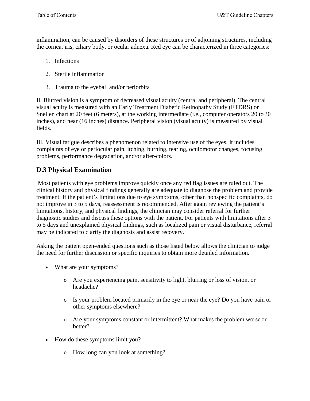inflammation, can be caused by disorders of these structures or of adjoining structures, including the cornea, iris, ciliary body, or ocular adnexa. Red eye can be characterized in three categories:

- 1. Infections
- 2. Sterile inflammation
- 3. Trauma to the eyeball and/or periorbita

II. Blurred vision is a symptom of decreased visual acuity (central and peripheral). The central visual acuity is measured with an Early Treatment Diabetic Retinopathy Study (ETDRS) or Snellen chart at 20 feet (6 meters), at the working intermediate (i.e., computer operators 20 to 30 inches), and near (16 inches) distance. Peripheral vision (visual acuity) is measured by visual fields.

III. Visual fatigue describes a phenomenon related to intensive use of the eyes. It includes complaints of eye or periocular pain, itching, burning, tearing, oculomotor changes, focusing problems, performance degradation, and/or after-colors.

## **D.3 Physical Examination**

Most patients with eye problems improve quickly once any red flag issues are ruled out. The clinical history and physical findings generally are adequate to diagnose the problem and provide treatment. If the patient's limitations due to eye symptoms, other than nonspecific complaints, do not improve in 3 to 5 days, reassessment is recommended. After again reviewing the patient's limitations, history, and physical findings, the clinician may consider referral for further diagnostic studies and discuss these options with the patient. For patients with limitations after 3 to 5 days and unexplained physical findings, such as localized pain or visual disturbance, referral may be indicated to clarify the diagnosis and assist recovery.

Asking the patient open-ended questions such as those listed below allows the clinician to judge the need for further discussion or specific inquiries to obtain more detailed information.

- What are your symptoms?
	- o Are you experiencing pain, sensitivity to light, blurring or loss of vision, or headache?
	- o Is your problem located primarily in the eye or near the eye? Do you have pain or other symptoms elsewhere?
	- o Are your symptoms constant or intermittent? What makes the problem worse or better?
- How do these symptoms limit you?
	- o How long can you look at something?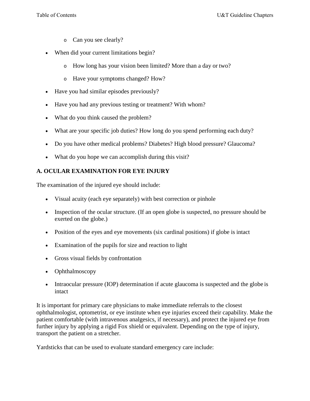- o Can you see clearly?
- When did your current limitations begin?
	- o How long has your vision been limited? More than a day or two?
	- o Have your symptoms changed? How?
- Have you had similar episodes previously?
- Have you had any previous testing or treatment? With whom?
- What do you think caused the problem?
- What are your specific job duties? How long do you spend performing each duty?
- Do you have other medical problems? Diabetes? High blood pressure? Glaucoma?
- What do you hope we can accomplish during this visit?

## **A. OCULAR EXAMINATION FOR EYE INJURY**

The examination of the injured eye should include:

- Visual acuity (each eye separately) with best correction or pinhole
- Inspection of the ocular structure. (If an open globe is suspected, no pressure should be exerted on the globe.)
- Position of the eyes and eye movements (six cardinal positions) if globe is intact
- Examination of the pupils for size and reaction to light
- Gross visual fields by confrontation
- Ophthalmoscopy
- Intraocular pressure (IOP) determination if acute glaucoma is suspected and the globe is intact

It is important for primary care physicians to make immediate referrals to the closest ophthalmologist, optometrist, or eye institute when eye injuries exceed their capability. Make the patient comfortable (with intravenous analgesics, if necessary), and protect the injured eye from further injury by applying a rigid Fox shield or equivalent. Depending on the type of injury, transport the patient on a stretcher.

Yardsticks that can be used to evaluate standard emergency care include: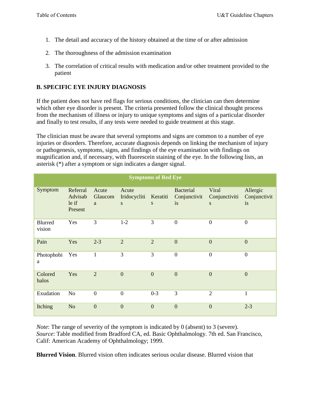- 1. The detail and accuracy of the history obtained at the time of or after admission
- 2. The thoroughness of the admission examination
- 3. The correlation of critical results with medication and/or other treatment provided to the patient

### **B. SPECIFIC EYE INJURY DIAGNOSIS**

If the patient does not have red flags for serious conditions, the clinician can then determine which other eye disorder is present. The criteria presented follow the clinical thought process from the mechanism of illness or injury to unique symptoms and signs of a particular disorder and finally to test results, if any tests were needed to guide treatment at this stage.

The clinician must be aware that several symptoms and signs are common to a number of eye injuries or disorders. Therefore, accurate diagnosis depends on linking the mechanism of injury or pathogenesis, symptoms, signs, and findings of the eye examination with findings on magnification and, if necessary, with fluorescein staining of the eye. In the following lists, an asterisk (\*) after a symptom or sign indicates a danger signal.

| <b>Symptoms of Red Eye</b> |                                         |                       |                            |                |                                        |                             |                                |
|----------------------------|-----------------------------------------|-----------------------|----------------------------|----------------|----------------------------------------|-----------------------------|--------------------------------|
| Symptom                    | Referral<br>Advisab<br>le if<br>Present | Acute<br>Glaucom<br>a | Acute<br>Iridocycliti<br>S | Keratiti<br>S  | <b>Bacterial</b><br>Conjunctivit<br>is | Viral<br>Conjunctiviti<br>S | Allergic<br>Conjunctivit<br>is |
| Blurred<br>vision          | Yes                                     | 3                     | $1-2$                      | 3              | $\boldsymbol{0}$                       | $\boldsymbol{0}$            | $\boldsymbol{0}$               |
| Pain                       | Yes                                     | $2 - 3$               | $\overline{2}$             | $\overline{2}$ | $\overline{0}$                         | $\overline{0}$              | $\overline{0}$                 |
| Photophobi<br>a            | Yes                                     | $\mathbf{1}$          | 3                          | 3              | $\boldsymbol{0}$                       | $\boldsymbol{0}$            | $\boldsymbol{0}$               |
| Colored<br>halos           | Yes                                     | $\overline{2}$        | $\overline{0}$             | $\overline{0}$ | $\mathbf{0}$                           | $\boldsymbol{0}$            | $\overline{0}$                 |
| Exudation                  | N <sub>o</sub>                          | $\overline{0}$        | $\boldsymbol{0}$           | $0 - 3$        | 3                                      | $\mathfrak{2}$              | $\mathbf{1}$                   |
| Itching                    | N <sub>o</sub>                          | $\overline{0}$        | $\overline{0}$             | $\overline{0}$ | $\mathbf{0}$                           | $\overline{0}$              | $2 - 3$                        |

*Note*: The range of severity of the symptom is indicated by 0 (absent) to 3 (severe). *Source*: Table modified from Bradford CA, ed. Basic Ophthalmology. 7th ed. San Francisco, Calif: American Academy of Ophthalmology; 1999.

**Blurred Vision**. Blurred vision often indicates serious ocular disease. Blurred vision that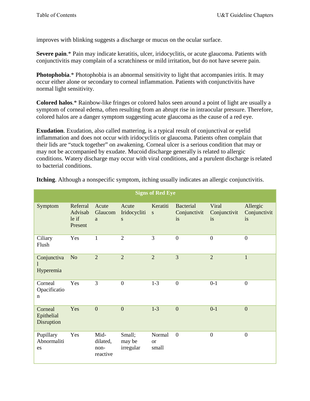improves with blinking suggests a discharge or mucus on the ocular surface.

**Severe pain.**\* Pain may indicate keratitis, ulcer, iridocyclitis, or acute glaucoma. Patients with conjunctivitis may complain of a scratchiness or mild irritation, but do not have severe pain.

**Photophobia**.\* Photophobia is an abnormal sensitivity to light that accompanies iritis. It may occur either alone or secondary to corneal inflammation. Patients with conjunctivitis have normal light sensitivity.

**Colored halos**.\* Rainbow-like fringes or colored halos seen around a point of light are usually a symptom of corneal edema, often resulting from an abrupt rise in intraocular pressure. Therefore, colored halos are a danger symptom suggesting acute glaucoma as the cause of a red eye.

**Exudation**. Exudation, also called mattering, is a typical result of conjunctival or eyelid inflammation and does not occur with iridocyclitis or glaucoma. Patients often complain that their lids are "stuck together" on awakening. Corneal ulcer is a serious condition that may or may not be accompanied by exudate. Mucoid discharge generally is related to allergic conditions. Watery discharge may occur with viral conditions, and a purulent discharge is related to bacterial conditions.

|                                        |                                         |                                      |                               | <b>Signs of Red Eye</b>          |                                        |                             |                                |
|----------------------------------------|-----------------------------------------|--------------------------------------|-------------------------------|----------------------------------|----------------------------------------|-----------------------------|--------------------------------|
| Symptom                                | Referral<br>Advisab<br>le if<br>Present | Acute<br>Glaucom<br>a                | Acute<br>Iridocycliti<br>S    | Keratiti<br>S                    | <b>Bacterial</b><br>Conjunctivit<br>is | Viral<br>Conjunctivit<br>is | Allergic<br>Conjunctivit<br>is |
| Ciliary<br>Flush                       | Yes                                     | 1                                    | $\overline{2}$                | 3                                | $\overline{0}$                         | $\boldsymbol{0}$            | $\overline{0}$                 |
| Conjunctiva<br>Hyperemia               | N <sub>o</sub>                          | $\overline{2}$                       | $\overline{2}$                | $\overline{2}$                   | $\overline{3}$                         | $\overline{2}$              | $\mathbf{1}$                   |
| Corneal<br>Opacificatio<br>$\mathbf n$ | Yes                                     | 3                                    | $\overline{0}$                | $1-3$                            | $\boldsymbol{0}$                       | $0 - 1$                     | $\overline{0}$                 |
| Corneal<br>Epithelial<br>Disruption    | Yes                                     | $\overline{0}$                       | $\overline{0}$                | $1-3$                            | $\overline{0}$                         | $0-1$                       | $\mathbf{0}$                   |
| Pupillary<br>Abnormaliti<br>es         | Yes                                     | Mid-<br>dilated,<br>non-<br>reactive | Small;<br>may be<br>irregular | Normal<br><sub>or</sub><br>small | $\boldsymbol{0}$                       | $\mathbf{0}$                | $\overline{0}$                 |

**Itching**. Although a nonspecific symptom, itching usually indicates an allergic conjunctivitis.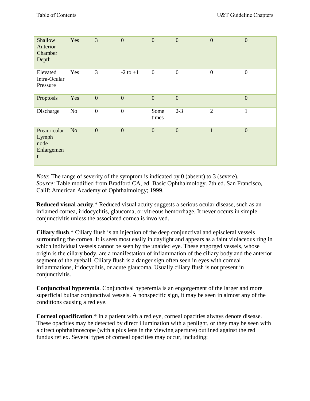| Shallow<br>Anterior<br>Chamber<br>Depth          | Yes            | 3                | $\overline{0}$   | $\mathbf{0}$     | $\overline{0}$   | $\overline{0}$   | $\mathbf{0}$   |
|--------------------------------------------------|----------------|------------------|------------------|------------------|------------------|------------------|----------------|
| Elevated<br>Intra-Ocular<br>Pressure             | Yes            | 3                | $-2$ to $+1$     | $\boldsymbol{0}$ | $\boldsymbol{0}$ | $\boldsymbol{0}$ | $\overline{0}$ |
| Proptosis                                        | Yes            | $\overline{0}$   | $\overline{0}$   | $\overline{0}$   | $\boldsymbol{0}$ |                  | $\overline{0}$ |
| Discharge                                        | N <sub>o</sub> | $\boldsymbol{0}$ | $\boldsymbol{0}$ | Some<br>times    | $2 - 3$          | $\mathfrak{2}$   | $\mathbf{1}$   |
| Preauricular<br>Lymph<br>node<br>Enlargemen<br>t | N <sub>o</sub> | $\overline{0}$   | $\overline{0}$   | $\boldsymbol{0}$ | $\mathbf{0}$     | $\mathbf{1}$     | $\mathbf{0}$   |

*Note*: The range of severity of the symptom is indicated by 0 (absent) to 3 (severe). *Source*: Table modified from Bradford CA, ed. Basic Ophthalmology. 7th ed. San Francisco, Calif: American Academy of Ophthalmology; 1999.

**Reduced visual acuity**.\* Reduced visual acuity suggests a serious ocular disease, such as an inflamed cornea, iridocyclitis, glaucoma, or vitreous hemorrhage. It never occurs in simple conjunctivitis unless the associated cornea is involved.

**Ciliary flush**.\* Ciliary flush is an injection of the deep conjunctival and episcleral vessels surrounding the cornea. It is seen most easily in daylight and appears as a faint violaceous ring in which individual vessels cannot be seen by the unaided eye. These engorged vessels, whose origin is the ciliary body, are a manifestation of inflammation of the ciliary body and the anterior segment of the eyeball. Ciliary flush is a danger sign often seen in eyes with corneal inflammations, iridocyclitis, or acute glaucoma. Usually ciliary flush is not present in conjunctivitis.

**Conjunctival hyperemia**. Conjunctival hyperemia is an engorgement of the larger and more superficial bulbar conjunctival vessels. A nonspecific sign, it may be seen in almost any of the conditions causing a red eye.

**Corneal opacification**.\* In a patient with a red eye, corneal opacities always denote disease. These opacities may be detected by direct illumination with a penlight, or they may be seen with a direct ophthalmoscope (with a plus lens in the viewing aperture) outlined against the red fundus reflex. Several types of corneal opacities may occur, including: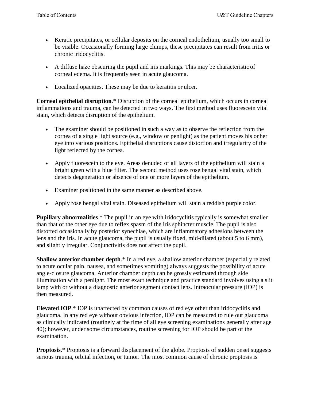- Keratic precipitates, or cellular deposits on the corneal endothelium, usually too small to be visible. Occasionally forming large clumps, these precipitates can result from iritis or chronic iridocyclitis.
- A diffuse haze obscuring the pupil and iris markings. This may be characteristic of corneal edema. It is frequently seen in acute glaucoma.
- Localized opacities. These may be due to keratitis or ulcer.

**Corneal epithelial disruption**.\* Disruption of the corneal epithelium, which occurs in corneal inflammations and trauma, can be detected in two ways. The first method uses fluorescein vital stain, which detects disruption of the epithelium.

- The examiner should be positioned in such a way as to observe the reflection from the cornea of a single light source (e.g., window or penlight) as the patient moves his or her eye into various positions. Epithelial disruptions cause distortion and irregularity of the light reflected by the cornea.
- Apply fluorescein to the eye. Areas denuded of all layers of the epithelium will stain a bright green with a blue filter. The second method uses rose bengal vital stain, which detects degeneration or absence of one or more layers of the epithelium.
- Examiner positioned in the same manner as described above.
- Apply rose bengal vital stain. Diseased epithelium will stain a reddish purple color.

**Pupillary abnormalities**.\* The pupil in an eye with iridocyclitis typically is somewhat smaller than that of the other eye due to reflex spasm of the iris sphincter muscle. The pupil is also distorted occasionally by posterior synechiae, which are inflammatory adhesions between the lens and the iris. In acute glaucoma, the pupil is usually fixed, mid-dilated (about 5 to 6 mm), and slightly irregular. Conjunctivitis does not affect the pupil.

**Shallow anterior chamber depth.**\* In a red eye, a shallow anterior chamber (especially related to acute ocular pain, nausea, and sometimes vomiting) always suggests the possibility of acute angle-closure glaucoma. Anterior chamber depth can be grossly estimated through side illumination with a penlight. The most exact technique and practice standard involves using a slit lamp with or without a diagnostic anterior segment contact lens. Intraocular pressure (IOP) is then measured.

**Elevated IOP**.\* IOP is unaffected by common causes of red eye other than iridocyclitis and glaucoma. In any red eye without obvious infection, IOP can be measured to rule out glaucoma as clinically indicated (routinely at the time of all eye screening examinations generally after age 40); however, under some circumstances, routine screening for IOP should be part of the examination.

**Proptosis.**\* Proptosis is a forward displacement of the globe. Proptosis of sudden onset suggests serious trauma, orbital infection, or tumor. The most common cause of chronic proptosis is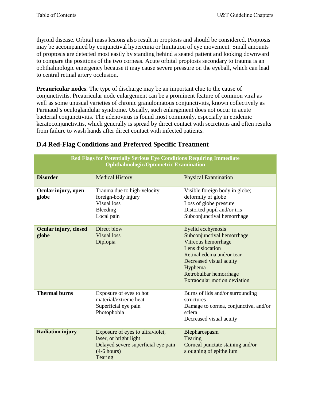thyroid disease. Orbital mass lesions also result in proptosis and should be considered. Proptosis may be accompanied by conjunctival hyperemia or limitation of eye movement. Small amounts of proptosis are detected most easily by standing behind a seated patient and looking downward to compare the positions of the two corneas. Acute orbital proptosis secondary to trauma is an ophthalmologic emergency because it may cause severe pressure on the eyeball, which can lead to central retinal artery occlusion.

**Preauricular nodes**. The type of discharge may be an important clue to the cause of conjunctivitis. Preauricular node enlargement can be a prominent feature of common viral as well as some unusual varieties of chronic granulomatous conjunctivitis, known collectively as Parinaud's oculoglandular syndrome. Usually, such enlargement does not occur in acute bacterial conjunctivitis. The adenovirus is found most commonly, especially in epidemic keratoconjunctivitis, which generally is spread by direct contact with secretions and often results from failure to wash hands after direct contact with infected patients.

| <b>Red Flags for Potentially Serious Eye Conditions Requiring Immediate</b><br><b>Ophthalmologic/Optometric Examination</b> |                                                                                                                               |                                                                                                                                                                                                                         |  |  |
|-----------------------------------------------------------------------------------------------------------------------------|-------------------------------------------------------------------------------------------------------------------------------|-------------------------------------------------------------------------------------------------------------------------------------------------------------------------------------------------------------------------|--|--|
| <b>Disorder</b>                                                                                                             | <b>Medical History</b>                                                                                                        | <b>Physical Examination</b>                                                                                                                                                                                             |  |  |
| Ocular injury, open<br>globe                                                                                                | Trauma due to high-velocity<br>foreign-body injury<br><b>Visual loss</b><br>Bleeding<br>Local pain                            | Visible foreign body in globe;<br>deformity of globe<br>Loss of globe pressure<br>Distorted pupil and/or iris<br>Subconjunctival hemorrhage                                                                             |  |  |
| Ocular injury, closed<br>globe                                                                                              | Direct blow<br><b>Visual loss</b><br>Diplopia                                                                                 | Eyelid ecchymosis<br>Subconjunctival hemorrhage<br>Vitreous hemorrhage<br>Lens dislocation<br>Retinal edema and/or tear<br>Decreased visual acuity<br>Hyphema<br>Retrobulbar hemorrhage<br>Extraocular motion deviation |  |  |
| <b>Thermal burns</b>                                                                                                        | Exposure of eyes to hot<br>material/extreme heat<br>Superficial eye pain<br>Photophobia                                       | Burns of lids and/or surrounding<br>structures<br>Damage to cornea, conjunctiva, and/or<br>sclera<br>Decreased visual acuity                                                                                            |  |  |
| <b>Radiation injury</b>                                                                                                     | Exposure of eyes to ultraviolet,<br>laser, or bright light<br>Delayed severe superficial eye pain<br>$(4-6 hours)$<br>Tearing | Blepharospasm<br>Tearing<br>Corneal punctate staining and/or<br>sloughing of epithelium                                                                                                                                 |  |  |

## **D.4 Red-Flag Conditions and Preferred Specific Treatment**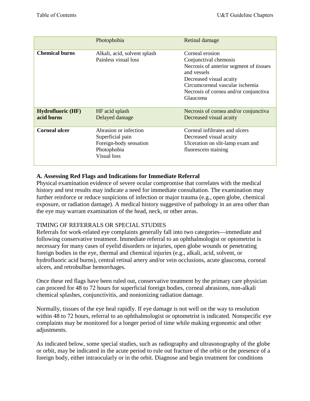|                                        | Photophobia                                                                                       | Retinal damage                                                                                                                                                                                                        |
|----------------------------------------|---------------------------------------------------------------------------------------------------|-----------------------------------------------------------------------------------------------------------------------------------------------------------------------------------------------------------------------|
| <b>Chemical burns</b>                  | Alkali, acid, solvent splash<br>Painless visual loss                                              | Corneal erosion<br>Conjunctival chemosis<br>Necrosis of anterior segment of tissues<br>and vessels<br>Decreased visual acuity<br>Circumcorneal vascular ischemia<br>Necrosis of cornea and/or conjunctiva<br>Glaucoma |
| <b>Hydrofluoric (HF)</b><br>acid burns | HF acid splash<br>Delayed damage                                                                  | Necrosis of cornea and/or conjunctiva<br>Decreased visual acuity                                                                                                                                                      |
| <b>Corneal ulcer</b>                   | Abrasion or infection<br>Superficial pain<br>Foreign-body sensation<br>Photophobia<br>Visual loss | Corneal infiltrates and ulcers<br>Decreased visual acuity<br>Ulceration on slit-lamp exam and<br>fluorescein staining                                                                                                 |

#### **A. Assessing Red Flags and Indications for Immediate Referral**

Physical examination evidence of severe ocular compromise that correlates with the medical history and test results may indicate a need for immediate consultation. The examination may further reinforce or reduce suspicions of infection or major trauma (e.g., open globe, chemical exposure, or radiation damage). A medical history suggestive of pathology in an area other than the eye may warrant examination of the head, neck, or other areas.

#### TIMING OF REFERRALS OR SPECIAL STUDIES

Referrals for work-related eye complaints generally fall into two categories—immediate and following conservative treatment. Immediate referral to an ophthalmologist or optometrist is necessary for many cases of eyelid disorders or injuries, open globe wounds or penetrating foreign bodies in the eye, thermal and chemical injuries (e.g., alkali, acid, solvent, or hydrofluoric acid burns), central retinal artery and/or vein occlusions, acute glaucoma, corneal ulcers, and retrobulbar hemorrhages.

Once these red flags have been ruled out, conservative treatment by the primary care physician can proceed for 48 to 72 hours for superficial foreign bodies, corneal abrasions, non-alkali chemical splashes, conjunctivitis, and nonionizing radiation damage.

Normally, tissues of the eye heal rapidly. If eye damage is not well on the way to resolution within 48 to 72 hours, referral to an ophthalmologist or optometrist is indicated. Nonspecific eye complaints may be monitored for a longer period of time while making ergonomic and other adjustments.

As indicated below, some special studies, such as radiography and ultrasonography of the globe or orbit, may be indicated in the acute period to rule out fracture of the orbit or the presence of a foreign body, either intraocularly or in the orbit. Diagnose and begin treatment for conditions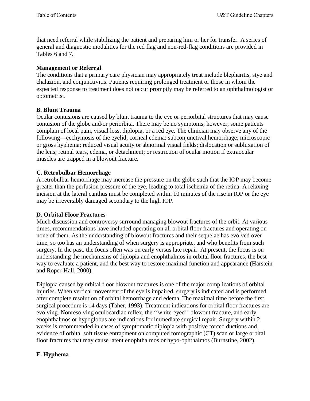that need referral while stabilizing the patient and preparing him or her for transfer. A series of general and diagnostic modalities for the red flag and non-red-flag conditions are provided in Tables 6 and 7.

#### **Management or Referral**

The conditions that a primary care physician may appropriately treat include blepharitis, stye and chalazion, and conjunctivitis. Patients requiring prolonged treatment or those in whom the expected response to treatment does not occur promptly may be referred to an ophthalmologist or optometrist.

#### **B. Blunt Trauma**

Ocular contusions are caused by blunt trauma to the eye or periorbital structures that may cause contusion of the globe and/or periorbita. There may be no symptoms; however, some patients complain of local pain, visual loss, diplopia, or a red eye. The clinician may observe any of the following—ecchymosis of the eyelid; corneal edema; subconjunctival hemorrhage; microscopic or gross hyphema; reduced visual acuity or abnormal visual fields; dislocation or subluxation of the lens; retinal tears, edema, or detachment; or restriction of ocular motion if extraocular muscles are trapped in a blowout fracture.

#### **C. Retrobulbar Hemorrhage**

A retrobulbar hemorrhage may increase the pressure on the globe such that the IOP may become greater than the perfusion pressure of the eye, leading to total ischemia of the retina. A relaxing incision at the lateral canthus must be completed within 10 minutes of the rise in IOP or the eye may be irreversibly damaged secondary to the high IOP.

#### **D. Orbital Floor Fractures**

Much discussion and controversy surround managing blowout fractures of the orbit. At various times, recommendations have included operating on all orbital floor fractures and operating on none of them. As the understanding of blowout fractures and their sequelae has evolved over time, so too has an understanding of when surgery is appropriate, and who benefits from such surgery. In the past, the focus often was on early versus late repair. At present, the focus is on understanding the mechanisms of diplopia and enophthalmos in orbital floor fractures, the best way to evaluate a patient, and the best way to restore maximal function and appearance (Harstein and Roper-Hall, 2000).

Diplopia caused by orbital floor blowout fractures is one of the major complications of orbital injuries. When vertical movement of the eye is impaired, surgery is indicated and is performed after complete resolution of orbital hemorrhage and edema. The maximal time before the first surgical procedure is 14 days (Taher, 1993). Treatment indications for orbital floor fractures are evolving. Nonresolving oculocardiac reflex, the ''white-eyed'' blowout fracture, and early enophthalmos or hypoglobus are indications for immediate surgical repair. Surgery within 2 weeks is recommended in cases of symptomatic diplopia with positive forced ductions and evidence of orbital soft tissue entrapment on computed tomographic (CT) scan or large orbital floor fractures that may cause latent enophthalmos or hypo-ophthalmos (Burnstine, 2002).

#### **E. Hyphema**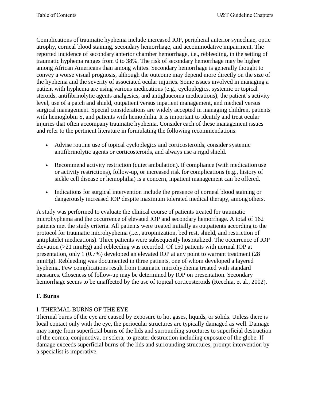Complications of traumatic hyphema include increased IOP, peripheral anterior synechiae, optic atrophy, corneal blood staining, secondary hemorrhage, and accommodative impairment. The reported incidence of secondary anterior chamber hemorrhage, i.e., rebleeding, in the setting of traumatic hyphema ranges from 0 to 38%. The risk of secondary hemorrhage may be higher among African Americans than among whites. Secondary hemorrhage is generally thought to convey a worse visual prognosis, although the outcome may depend more directly on the size of the hyphema and the severity of associated ocular injuries. Some issues involved in managing a patient with hyphema are using various medications (e.g., cycloplegics, systemic or topical steroids, antifibrinolytic agents analgesics, and antiglaucoma medications), the patient's activity level, use of a patch and shield, outpatient versus inpatient management, and medical versus surgical management. Special considerations are widely accepted in managing children, patients with hemoglobin S, and patients with hemophilia. It is important to identify and treat ocular injuries that often accompany traumatic hyphema. Consider each of these management issues and refer to the pertinent literature in formulating the following recommendations:

- Advise routine use of topical cycloplegics and corticosteroids, consider systemic antifibrinolytic agents or corticosteroids, and always use a rigid shield.
- Recommend activity restriction (quiet ambulation). If compliance (with medication use or activity restrictions), follow-up, or increased risk for complications (e.g., history of sickle cell disease or hemophilia) is a concern, inpatient management can be offered.
- Indications for surgical intervention include the presence of corneal blood staining or dangerously increased IOP despite maximum tolerated medical therapy, among others.

A study was performed to evaluate the clinical course of patients treated for traumatic microhyphema and the occurrence of elevated IOP and secondary hemorrhage. A total of 162 patients met the study criteria. All patients were treated initially as outpatients according to the protocol for traumatic microhyphema (i.e., atropinization, bed rest, shield, and restriction of antiplatelet medications). Three patients were subsequently hospitalized. The occurrence of IOP elevation (>21 mmHg) and rebleeding was recorded. Of 150 patients with normal IOP at presentation, only 1 (0.7%) developed an elevated IOP at any point to warrant treatment (28 mmHg). Rebleeding was documented in three patients, one of whom developed a layered hyphema. Few complications result from traumatic microhyphema treated with standard measures. Closeness of follow-up may be determined by IOP on presentation. Secondary hemorrhage seems to be unaffected by the use of topical corticosteroids (Recchia, et al., 2002).

## **F. Burns**

#### I. THERMAL BURNS OF THE EYE

Thermal burns of the eye are caused by exposure to hot gases, liquids, or solids. Unless there is local contact only with the eye, the periocular structures are typically damaged as well. Damage may range from superficial burns of the lids and surrounding structures to superficial destruction of the cornea, conjunctiva, or sclera, to greater destruction including exposure of the globe. If damage exceeds superficial burns of the lids and surrounding structures, prompt intervention by a specialist is imperative.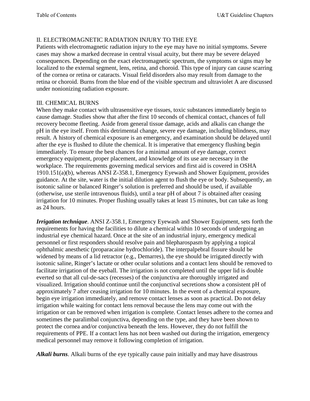#### II. ELECTROMAGNETIC RADIATION INJURY TO THE EYE

Patients with electromagnetic radiation injury to the eye may have no initial symptoms. Severe cases may show a marked decrease in central visual acuity, but there may be severe delayed consequences. Depending on the exact electromagnetic spectrum, the symptoms or signs may be localized to the external segment, lens, retina, and choroid. This type of injury can cause scarring of the cornea or retina or cataracts. Visual field disorders also may result from damage to the retina or choroid. Burns from the blue end of the visible spectrum and ultraviolet A are discussed under nonionizing radiation exposure.

#### III. CHEMICAL BURNS

When they make contact with ultrasensitive eye tissues, toxic substances immediately begin to cause damage. Studies show that after the first 10 seconds of chemical contact, chances of full recovery become fleeting. Aside from general tissue damage, acids and alkalis can change the pH in the eye itself. From this detrimental change, severe eye damage, including blindness, may result. A history of chemical exposure is an emergency, and examination should be delayed until after the eye is flushed to dilute the chemical. It is imperative that emergency flushing begin immediately. To ensure the best chances for a minimal amount of eye damage, correct emergency equipment, proper placement, and knowledge of its use are necessary in the workplace. The requirements governing medical services and first aid is covered in OSHA 1910.151(a)(b), whereas ANSI Z-358.1, Emergency Eyewash and Shower Equipment, provides guidance. At the site, water is the initial dilution agent to flush the eye or body. Subsequently, an isotonic saline or balanced Ringer's solution is preferred and should be used, if available (otherwise, use sterile intravenous fluids), until a tear pH of about 7 is obtained after ceasing irrigation for 10 minutes. Proper flushing usually takes at least 15 minutes, but can take as long as 24 hours.

*Irrigation technique*. ANSI Z-358.1, Emergency Eyewash and Shower Equipment, sets forth the requirements for having the facilities to dilute a chemical within 10 seconds of undergoing an industrial eye chemical hazard. Once at the site of an industrial injury, emergency medical personnel or first responders should resolve pain and blepharospasm by applying a topical ophthalmic anesthetic (proparacaine hydrochloride). The interpalpebral fissure should be widened by means of a lid retractor (e.g., Demarres), the eye should be irrigated directly with isotonic saline, Ringer's lactate or other ocular solutions and a contact lens should be removed to facilitate irrigation of the eyeball. The irrigation is not completed until the upper lid is double everted so that all cul-de-sacs (recesses) of the conjunctiva are thoroughly irrigated and visualized. Irrigation should continue until the conjunctival secretions show a consistent pH of approximately 7 after ceasing irrigation for 10 minutes. In the event of a chemical exposure, begin eye irrigation immediately, and remove contact lenses as soon as practical. Do not delay irrigation while waiting for contact lens removal because the lens may come out with the irrigation or can be removed when irrigation is complete. Contact lenses adhere to the cornea and sometimes the paralimbal conjunctiva, depending on the type, and they have been shown to protect the cornea and/or conjunctiva beneath the lens. However, they do not fulfill the requirements of PPE. If a contact lens has not been washed out during the irrigation, emergency medical personnel may remove it following completion of irrigation.

*Alkali burns*. Alkali burns of the eye typically cause pain initially and may have disastrous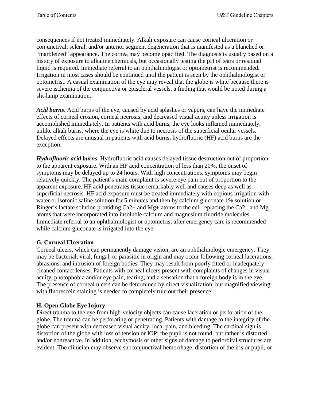consequences if not treated immediately. Alkali exposure can cause corneal ulceration or conjunctival, scleral, and/or anterior segment degeneration that is manifested as a blanched or "marbleized" appearance. The cornea may become opacified. The diagnosis is usually based on a history of exposure to alkaline chemicals, but occasionally testing the pH of tears or residual liquid is required. Immediate referral to an ophthalmologist or optometrist is recommended. Irrigation in most cases should be continued until the patient is seen by the ophthalmologist or optometrist. A casual examination of the eye may reveal that the globe is white because there is severe ischemia of the conjunctiva or episcleral vessels, a finding that would be noted during a slit-lamp examination.

*Acid burns*. Acid burns of the eye, caused by acid splashes or vapors, can have the immediate effects of corneal erosion, corneal necrosis, and decreased visual acuity unless irrigation is accomplished immediately. In patients with acid burns, the eye looks inflamed immediately, unlike alkali burns, where the eye is white due to necrosis of the superficial ocular vessels. Delayed effects are unusual in patients with acid burns; hydrofluoric (HF) acid burns are the exception.

*Hydrofluoric acid burns*. Hydrofluoric acid causes delayed tissue destruction out of proportion to the apparent exposure. With an HF acid concentration of less than 20%, the onset of symptoms may be delayed up to 24 hours. With high concentrations, symptoms may begin relatively quickly. The patient's main complaint is severe eye pain out of proportion to the apparent exposure. HF acid penetrates tissue remarkably well and causes deep as well as superficial necrosis. HF acid exposure must be treated immediately with copious irrigation with water or isotonic saline solution for 5 minutes and then by calcium gluconate 1% solution or Ringer's lactate solution providing Ca2+ and Mg+ atoms to the cell replacing the Ca2 and Mg atoms that were incorporated into insoluble calcium and magnesium fluoride molecules. Immediate referral to an ophthalmologist or optometrist after emergency care is recommended while calcium gluconate is irrigated into the eye.

#### **G. Corneal Ulceration**

Corneal ulcers, which can permanently damage vision, are an ophthalmologic emergency. They may be bacterial, viral, fungal, or parasitic in origin and may occur following corneal lacerations, abrasions, and intrusion of foreign bodies. They may result from poorly fitted or inadequately cleaned contact lenses. Patients with corneal ulcers present with complaints of changes in visual acuity, photophobia and/or eye pain, tearing, and a sensation that a foreign body is in the eye. The presence of corneal ulcers can be determined by direct visualization, but magnified viewing with fluorescein staining is needed to completely rule out their presence.

## **H. Open Globe Eye Injury**

Direct trauma to the eye from high-velocity objects can cause laceration or perforation of the globe. The trauma can be perforating or penetrating. Patients with damage to the integrity of the globe can present with decreased visual acuity, local pain, and bleeding. The cardinal sign is distortion of the globe with loss of tension or IOP; the pupil is not round, but rather is distorted and/or nonreactive. In addition, ecchymosis or other signs of damage to periorbital structures are evident. The clinician may observe subconjunctival hemorrhage, distortion of the iris or pupil, or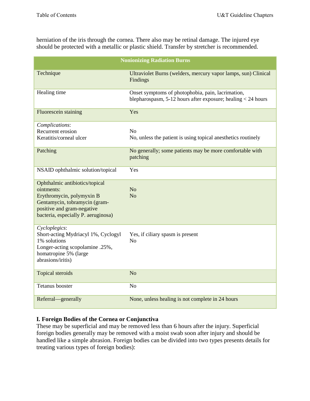herniation of the iris through the cornea. There also may be retinal damage. The injured eye should be protected with a metallic or plastic shield. Transfer by stretcher is recommended.

|                                                                                                                                                                                 | <b>Nonionizing Radiation Burns</b>                                                                                    |
|---------------------------------------------------------------------------------------------------------------------------------------------------------------------------------|-----------------------------------------------------------------------------------------------------------------------|
| Technique                                                                                                                                                                       | Ultraviolet Burns (welders, mercury vapor lamps, sun) Clinical<br>Findings                                            |
| Healing time                                                                                                                                                                    | Onset symptoms of photophobia, pain, lacrimation,<br>blepharospasm, $5-12$ hours after exposure; healing $< 24$ hours |
| Fluorescein staining                                                                                                                                                            | Yes                                                                                                                   |
| Complications:<br>Recurrent erosion<br>Keratitis/corneal ulcer                                                                                                                  | No<br>No, unless the patient is using topical anesthetics routinely                                                   |
| Patching                                                                                                                                                                        | No generally; some patients may be more comfortable with<br>patching                                                  |
| NSAID ophthalmic solution/topical                                                                                                                                               | Yes                                                                                                                   |
| Ophthalmic antibiotics/topical<br>ointments:<br>Erythromycin, polymyxin B<br>Gentamycin, tobramycin (gram-<br>positive and gram-negative<br>bacteria, especially P. aeruginosa) | N <sub>o</sub><br>N <sub>o</sub>                                                                                      |
| Cycloplegics:<br>Short-acting Mydriacyl 1%, Cyclogyl<br>1% solutions<br>Longer-acting scopolamine .25%,<br>homatropine 5% (large<br>abrasions/iritis)                           | Yes, if ciliary spasm is present<br>N <sub>o</sub>                                                                    |
| Topical steroids                                                                                                                                                                | N <sub>o</sub>                                                                                                        |
| <b>Tetanus</b> booster                                                                                                                                                          | N <sub>o</sub>                                                                                                        |
| Referral-generally                                                                                                                                                              | None, unless healing is not complete in 24 hours                                                                      |

#### **I. Foreign Bodies of the Cornea or Conjunctiva**

These may be superficial and may be removed less than 6 hours after the injury. Superficial foreign bodies generally may be removed with a moist swab soon after injury and should be handled like a simple abrasion. Foreign bodies can be divided into two types presents details for treating various types of foreign bodies):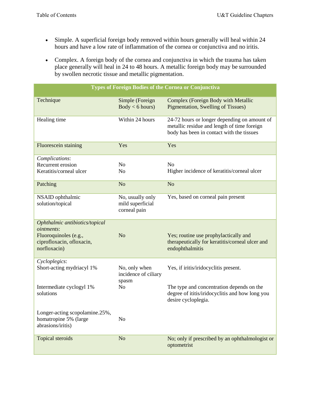- Simple. A superficial foreign body removed within hours generally will heal within 24 hours and have a low rate of inflammation of the cornea or conjunctiva and no iritis.
- Complex. A foreign body of the cornea and conjunctiva in which the trauma has taken place generally will heal in 24 to 48 hours. A metallic foreign body may be surrounded by swollen necrotic tissue and metallic pigmentation.

|                                                                                                                           |                                                      | Types of Foreign Bodies of the Cornea or Conjunctiva                                                                                     |
|---------------------------------------------------------------------------------------------------------------------------|------------------------------------------------------|------------------------------------------------------------------------------------------------------------------------------------------|
| Technique                                                                                                                 | Simple (Foreign<br>Body < 6 hours)                   | Complex (Foreign Body with Metallic<br><b>Pigmentation, Swelling of Tissues)</b>                                                         |
| Healing time                                                                                                              | Within 24 hours                                      | 24-72 hours or longer depending on amount of<br>metallic residue and length of time foreign<br>body has been in contact with the tissues |
| Fluorescein staining                                                                                                      | Yes                                                  | Yes                                                                                                                                      |
| Complications:                                                                                                            |                                                      |                                                                                                                                          |
| Recurrent erosion                                                                                                         | N <sub>o</sub>                                       | N <sub>o</sub>                                                                                                                           |
| Keratitis/corneal ulcer                                                                                                   | N <sub>0</sub>                                       | Higher incidence of keratitis/corneal ulcer                                                                                              |
| Patching                                                                                                                  | N <sub>o</sub>                                       | N <sub>o</sub>                                                                                                                           |
| NSAID ophthalmic<br>solution/topical                                                                                      | No, usually only<br>mild superficial<br>corneal pain | Yes, based on corneal pain present                                                                                                       |
| Ophthalmic antibiotics/topical<br><i>ointments:</i><br>Fluoroquinoles (e.g.,<br>ciprofloxacin, ofloxacin,<br>norfloxacin) | N <sub>o</sub>                                       | Yes; routine use prophylactically and<br>therapeutically for keratitis/corneal ulcer and<br>endophthalmitis                              |
| Cycloplegics:<br>Short-acting mydriacyl 1%                                                                                |                                                      | Yes, if iritis/iridocyclitis present.                                                                                                    |
|                                                                                                                           | No, only when<br>incidence of ciliary<br>spasm       |                                                                                                                                          |
| Intermediate cyclogyl 1%<br>solutions                                                                                     | N <sub>o</sub>                                       | The type and concentration depends on the<br>degree of ititis/iridocyclitis and how long you<br>desire cycloplegia.                      |
| Longer-acting scopolamine.25%,<br>homatropine 5% (large<br>abrasions/iritis)                                              | No                                                   |                                                                                                                                          |
| Topical steroids                                                                                                          | N <sub>o</sub>                                       | No; only if prescribed by an ophthalmologist or<br>optometrist                                                                           |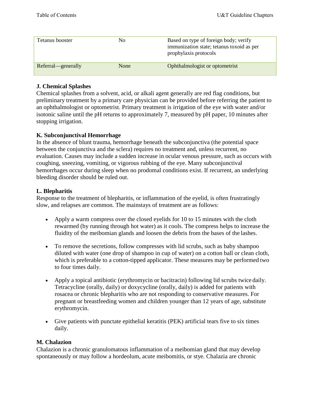| Tetanus booster    | No.  | Based on type of foreign body; verify<br>immunization state; tetanus toxoid as per<br>prophylaxis protocols |
|--------------------|------|-------------------------------------------------------------------------------------------------------------|
| Referral—generally | None | Ophthalmologist or optometrist                                                                              |

#### **J. Chemical Splashes**

Chemical splashes from a solvent, acid, or alkali agent generally are red flag conditions, but preliminary treatment by a primary care physician can be provided before referring the patient to an ophthalmologist or optometrist. Primary treatment is irrigation of the eye with water and/or isotonic saline until the pH returns to approximately 7, measured by pH paper, 10 minutes after stopping irrigation.

#### **K. Subconjunctival Hemorrhage**

In the absence of blunt trauma, hemorrhage beneath the subconjunctiva (the potential space between the conjunctiva and the sclera) requires no treatment and, unless recurrent, no evaluation. Causes may include a sudden increase in ocular venous pressure, such as occurs with coughing, sneezing, vomiting, or vigorous rubbing of the eye. Many subconjunctival hemorrhages occur during sleep when no prodomal conditions exist. If recurrent, an underlying bleeding disorder should be ruled out.

#### **L. Blepharitis**

Response to the treatment of blepharitis, or inflammation of the eyelid, is often frustratingly slow, and relapses are common. The mainstays of treatment are as follows:

- Apply a warm compress over the closed eyelids for 10 to 15 minutes with the cloth rewarmed (by running through hot water) as it cools. The compress helps to increase the fluidity of the meibomian glands and loosen the debris from the bases of the lashes.
- To remove the secretions, follow compresses with lid scrubs, such as baby shampoo diluted with water (one drop of shampoo in cup of water) on a cotton ball or clean cloth, which is preferable to a cotton-tipped applicator. These measures may be performed two to four times daily.
- Apply a topical antibiotic (erythromycin or bacitracin) following lid scrubs twice daily. Tetracycline (orally, daily) or doxycycline (orally, daily) is added for patients with rosacea or chronic blepharitis who are not responding to conservative measures. For pregnant or breastfeeding women and children younger than 12 years of age, substitute erythromycin.
- Give patients with punctate epithelial keratitis (PEK) artificial tears five to six times daily.

#### **M. Chalazion**

Chalazion is a chronic granulomatous inflammation of a meibomian gland that may develop spontaneously or may follow a hordeolum, acute meibomitis, or stye. Chalazia are chronic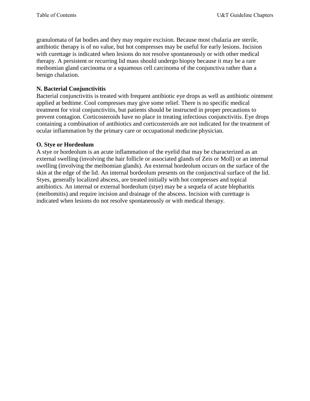granulomata of fat bodies and they may require excision. Because most chalazia are sterile, antibiotic therapy is of no value, but hot compresses may be useful for early lesions. Incision with curettage is indicated when lesions do not resolve spontaneously or with other medical therapy. A persistent or recurring lid mass should undergo biopsy because it may be a rare meibomian gland carcinoma or a squamous cell carcinoma of the conjunctiva rather than a benign chalazion.

#### **N. Bacterial Conjunctivitis**

Bacterial conjunctivitis is treated with frequent antibiotic eye drops as well as antibiotic ointment applied at bedtime. Cool compresses may give some relief. There is no specific medical treatment for viral conjunctivitis, but patients should be instructed in proper precautions to prevent contagion. Corticosteroids have no place in treating infectious conjunctivitis. Eye drops containing a combination of antibiotics and corticosteroids are not indicated for the treatment of ocular inflammation by the primary care or occupational medicine physician.

#### **O. Stye or Hordeolum**

A stye or hordeolum is an acute inflammation of the eyelid that may be characterized as an external swelling (involving the hair follicle or associated glands of Zeis or Moll) or an internal swelling (involving the meibomian glands). An external hordeolum occurs on the surface of the skin at the edge of the lid. An internal hordeolum presents on the conjunctival surface of the lid. Styes, generally localized abscess, are treated initially with hot compresses and topical antibiotics. An internal or external hordeolum (stye) may be a sequela of acute blepharitis (meibomitis) and require incision and drainage of the abscess. Incision with curettage is indicated when lesions do not resolve spontaneously or with medical therapy.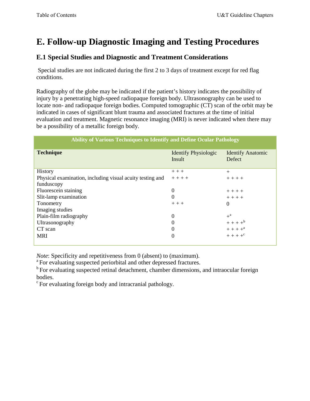# <span id="page-23-0"></span>**E. Follow-up Diagnostic Imaging and Testing Procedures**

## **E.1 Special Studies and Diagnostic and Treatment Considerations**

Special studies are not indicated during the first 2 to 3 days of treatment except for red flag conditions.

Radiography of the globe may be indicated if the patient's history indicates the possibility of injury by a penetrating high-speed radiopaque foreign body. Ultrasonography can be used to locate non- and radiopaque foreign bodies. Computed tomographic (CT) scan of the orbit may be indicated in cases of significant blunt trauma and associated fractures at the time of initial evaluation and treatment. Magnetic resonance imaging (MRI) is never indicated when there may be a possibility of a metallic foreign body.

| <b>Ability of Various Techniques to Identify and Define Ocular Pathology</b> |                                       |                                    |  |  |
|------------------------------------------------------------------------------|---------------------------------------|------------------------------------|--|--|
| <b>Technique</b>                                                             | <b>Identify Physiologic</b><br>Insult | <b>Identify Anatomic</b><br>Defect |  |  |
| History                                                                      | $+++$                                 | $+$                                |  |  |
| Physical examination, including visual acuity testing and                    | $+ + + +$                             | $+ + + +$                          |  |  |
| funduscopy                                                                   |                                       |                                    |  |  |
| Fluorescein staining                                                         | $\boldsymbol{0}$                      | $+ + + +$                          |  |  |
| Slit-lamp examination                                                        | $\Omega$                              | $+ + + +$                          |  |  |
| Tonometry                                                                    | $+++$                                 | $\theta$                           |  |  |
| Imaging studies                                                              |                                       |                                    |  |  |
| Plain-film radiography                                                       | $\boldsymbol{0}$                      | $+$ <sup>a</sup>                   |  |  |
| Ultrasonography                                                              | 0                                     | $+ + + +$ <sup>b</sup>             |  |  |
| CT scan                                                                      | 0                                     | $+ + + +a$                         |  |  |
| <b>MRI</b>                                                                   | 0                                     | $+ + + + +$ <sup>c</sup>           |  |  |

*Note*: Specificity and repetitiveness from 0 (absent) to (maximum). <sup>a</sup> For evaluating suspected periorbital and other depressed fractures.

<sup>b</sup> For evaluating suspected retinal detachment, chamber dimensions, and intraocular foreign bodies.

c For evaluating foreign body and intracranial pathology.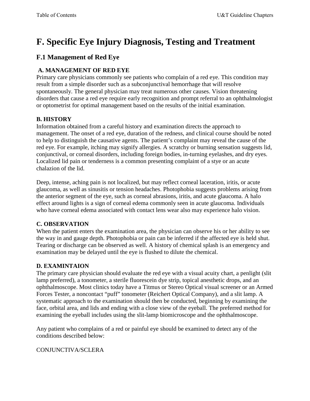# <span id="page-24-0"></span>**F. Specific Eye Injury Diagnosis, Testing and Treatment**

## **F.1 Management of Red Eye**

## **A. MANAGEMENT OF RED EYE**

Primary care physicians commonly see patients who complain of a red eye. This condition may result from a simple disorder such as a subconjunctival hemorrhage that will resolve spontaneously. The general physician may treat numerous other causes. Vision threatening disorders that cause a red eye require early recognition and prompt referral to an ophthalmologist or optometrist for optimal management based on the results of the initial examination.

## **B. HISTORY**

Information obtained from a careful history and examination directs the approach to management. The onset of a red eye, duration of the redness, and clinical course should be noted to help to distinguish the causative agents. The patient's complaint may reveal the cause of the red eye. For example, itching may signify allergies. A scratchy or burning sensation suggests lid, conjunctival, or corneal disorders, including foreign bodies, in-turning eyelashes, and dry eyes. Localized lid pain or tenderness is a common presenting complaint of a stye or an acute chalazion of the lid.

Deep, intense, aching pain is not localized, but may reflect corneal laceration, iritis, or acute glaucoma, as well as sinusitis or tension headaches. Photophobia suggests problems arising from the anterior segment of the eye, such as corneal abrasions, iritis, and acute glaucoma. A halo effect around lights is a sign of corneal edema commonly seen in acute glaucoma. Individuals who have corneal edema associated with contact lens wear also may experience halo vision.

## **C. OBSERVATION**

When the patient enters the examination area, the physician can observe his or her ability to see the way in and gauge depth. Photophobia or pain can be inferred if the affected eye is held shut. Tearing or discharge can be observed as well. A history of chemical splash is an emergency and examination may be delayed until the eye is flushed to dilute the chemical.

## **D. EXAMINTAION**

The primary care physician should evaluate the red eye with a visual acuity chart, a penlight (slit lamp preferred), a tonometer, a sterile fluorescein dye strip, topical anesthetic drops, and an ophthalmoscope. Most clinics today have a Titmus or Stereo Optical visual screener or an Armed Forces Tester, a noncontact "puff" tonometer (Reichert Optical Company), and a slit lamp. A systematic approach to the examination should then be conducted, beginning by examining the face, orbital area, and lids and ending with a close view of the eyeball. The preferred method for examining the eyeball includes using the slit-lamp biomicroscope and the ophthalmoscope.

Any patient who complains of a red or painful eye should be examined to detect any of the conditions described below:

## CONJUNCTIVA/SCLERA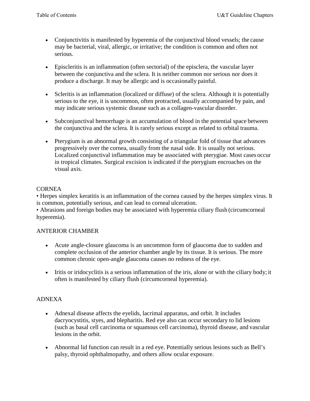- Conjunctivitis is manifested by hyperemia of the conjunctival blood vessels; the cause may be bacterial, viral, allergic, or irritative; the condition is common and often not serious.
- Episcleritis is an inflammation (often sectorial) of the episclera, the vascular layer between the conjunctiva and the sclera. It is neither common nor serious nor does it produce a discharge. It may be allergic and is occasionally painful.
- Scleritis is an inflammation (localized or diffuse) of the sclera. Although it is potentially serious to the eye, it is uncommon, often protracted, usually accompanied by pain, and may indicate serious systemic disease such as a collagen-vascular disorder.
- Subconjunctival hemorrhage is an accumulation of blood in the potential space between the conjunctiva and the sclera. It is rarely serious except as related to orbital trauma.
- Pterygium is an abnormal growth consisting of a triangular fold of tissue that advances progressively over the cornea, usually from the nasal side. It is usually not serious. Localized conjunctival inflammation may be associated with pterygiae. Most cases occur in tropical climates. Surgical excision is indicated if the pterygium encroaches on the visual axis.

#### CORNEA

• Herpes simplex keratitis is an inflammation of the cornea caused by the herpes simplex virus. It is common, potentially serious, and can lead to corneal ulceration.

• Abrasions and foreign bodies may be associated with hyperemia ciliary flush (circumcorneal hyperemia).

#### ANTERIOR CHAMBER

- Acute angle-closure glaucoma is an uncommon form of glaucoma due to sudden and complete occlusion of the anterior chamber angle by its tissue. It is serious. The more common chronic open-angle glaucoma causes no redness of the eye.
- Iritis or iridocyclitis is a serious inflammation of the iris, alone or with the ciliary body; it often is manifested by ciliary flush (circumcorneal hyperemia).

## ADNEXA

- Adnexal disease affects the eyelids, lacrimal apparatus, and orbit. It includes dacryocystitis, styes, and blepharitis. Red eye also can occur secondary to lid lesions (such as basal cell carcinoma or squamous cell carcinoma), thyroid disease, and vascular lesions in the orbit.
- Abnormal lid function can result in a red eye. Potentially serious lesions such as Bell's palsy, thyroid ophthalmopathy, and others allow ocular exposure.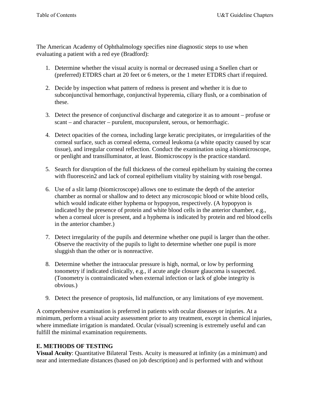The American Academy of Ophthalmology specifies nine diagnostic steps to use when evaluating a patient with a red eye (Bradford):

- 1. Determine whether the visual acuity is normal or decreased using a Snellen chart or (preferred) ETDRS chart at 20 feet or 6 meters, or the 1 meter ETDRS chart if required.
- 2. Decide by inspection what pattern of redness is present and whether it is due to subconjunctival hemorrhage, conjunctival hyperemia, ciliary flush, or a combination of these.
- 3. Detect the presence of conjunctival discharge and categorize it as to amount profuse or scant – and character – purulent, mucopurulent, serous, or hemorrhagic.
- 4. Detect opacities of the cornea, including large keratic precipitates, or irregularities of the corneal surface, such as corneal edema, corneal leukoma (a white opacity caused by scar tissue), and irregular corneal reflection. Conduct the examination using a biomicroscope, or penlight and transilluminator, at least. Biomicroscopy is the practice standard.
- 5. Search for disruption of the full thickness of the corneal epithelium by staining the cornea with fluorescein2 and lack of corneal epithelium vitality by staining with rose bengal.
- 6. Use of a slit lamp (biomicroscope) allows one to estimate the depth of the anterior chamber as normal or shallow and to detect any microscopic blood or white blood cells, which would indicate either hyphema or hypopyon, respectively. (A hypopyon is indicated by the presence of protein and white blood cells in the anterior chamber, e.g., when a corneal ulcer is present, and a hyphema is indicated by protein and red blood cells in the anterior chamber.)
- 7. Detect irregularity of the pupils and determine whether one pupil is larger than the other. Observe the reactivity of the pupils to light to determine whether one pupil is more sluggish than the other or is nonreactive.
- 8. Determine whether the intraocular pressure is high, normal, or low by performing tonometry if indicated clinically, e.g., if acute angle closure glaucoma is suspected. (Tonometry is contraindicated when external infection or lack of globe integrity is obvious.)
- 9. Detect the presence of proptosis, lid malfunction, or any limitations of eye movement.

A comprehensive examination is preferred in patients with ocular diseases or injuries. At a minimum, perform a visual acuity assessment prior to any treatment, except in chemical injuries, where immediate irrigation is mandated. Ocular (visual) screening is extremely useful and can fulfill the minimal examination requirements.

#### **E. METHODS OF TESTING**

**Visual Acuity**: Quantitative Bilateral Tests. Acuity is measured at infinity (as a minimum) and near and intermediate distances (based on job description) and is performed with and without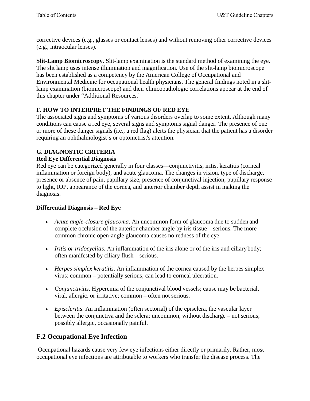corrective devices (e.g., glasses or contact lenses) and without removing other corrective devices (e.g., intraocular lenses).

**Slit-Lamp Biomicroscopy**. Slit-lamp examination is the standard method of examining the eye. The slit lamp uses intense illumination and magnification. Use of the slit-lamp biomicroscope has been established as a competency by the American College of Occupational and Environmental Medicine for occupational health physicians. The general findings noted in a slitlamp examination (biomicroscope) and their clinicopathologic correlations appear at the end of this chapter under "Additional Resources."

### **F. HOW TO INTERPRET THE FINDINGS OF RED EYE**

The associated signs and symptoms of various disorders overlap to some extent. Although many conditions can cause a red eye, several signs and symptoms signal danger. The presence of one or more of these danger signals (i.e., a red flag) alerts the physician that the patient has a disorder requiring an ophthalmologist's or optometrist's attention.

## **G. DIAGNOSTIC CRITERIA**

#### **Red Eye Differential Diagnosis**

Red eye can be categorized generally in four classes—conjunctivitis, iritis, keratitis (corneal inflammation or foreign body), and acute glaucoma. The changes in vision, type of discharge, presence or absence of pain, papillary size, presence of conjunctival injection, pupillary response to light, IOP, appearance of the cornea, and anterior chamber depth assist in making the diagnosis.

#### **Differential Diagnosis – Red Eye**

- *Acute angle-closure glaucoma*. An uncommon form of glaucoma due to sudden and complete occlusion of the anterior chamber angle by iris tissue – serious. The more common chronic open-angle glaucoma causes no redness of the eye.
- *Iritis or iridocyclitis*. An inflammation of the iris alone or of the iris and ciliary body; often manifested by ciliary flush – serious.
- *Herpes simplex keratitis*. An inflammation of the cornea caused by the herpes simplex virus; common – potentially serious; can lead to corneal ulceration.
- *Conjunctivitis*. Hyperemia of the conjunctival blood vessels; cause may be bacterial, viral, allergic, or irritative; common – often not serious.
- *Episcleritis*. An inflammation (often sectorial) of the episclera, the vascular layer between the conjunctiva and the sclera; uncommon, without discharge – not serious; possibly allergic, occasionally painful.

## **F.2 Occupational Eye Infection**

Occupational hazards cause very few eye infections either directly or primarily. Rather, most occupational eye infections are attributable to workers who transfer the disease process. The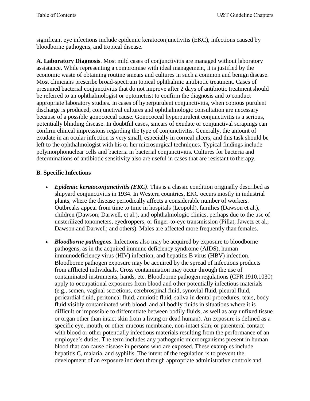significant eye infections include epidemic keratoconjunctivitis (EKC), infections caused by bloodborne pathogens, and tropical disease.

**A. Laboratory Diagnosis**. Most mild cases of conjunctivitis are managed without laboratory assistance. While representing a compromise with ideal management, it is justified by the economic waste of obtaining routine smears and cultures in such a common and benign disease. Most clinicians prescribe broad-spectrum topical ophthalmic antibiotic treatment. Cases of presumed bacterial conjunctivitis that do not improve after 2 days of antibiotic treatment should be referred to an ophthalmologist or optometrist to confirm the diagnosis and to conduct appropriate laboratory studies. In cases of hyperpurulent conjunctivitis, when copious purulent discharge is produced, conjunctival cultures and ophthalmologic consultation are necessary because of a possible gonococcal cause. Gonococcal hyperpurulent conjunctivitis is a serious, potentially blinding disease. In doubtful cases, smears of exudate or conjunctival scrapings can confirm clinical impressions regarding the type of conjunctivitis. Generally, the amount of exudate in an ocular infection is very small, especially in corneal ulcers, and this task should be left to the ophthalmologist with his or her microsurgical techniques. Typical findings include polymorphonuclear cells and bacteria in bacterial conjunctivitis. Cultures for bacteria and determinations of antibiotic sensitivity also are useful in cases that are resistant to therapy.

#### **B. Specific Infections**

- *Epidemic keratoconjunctivitis (EKC)*. This is a classic condition originally described as shipyard conjunctivitis in 1934. In Western countries, EKC occurs mostly in industrial plants, where the disease periodically affects a considerable number of workers. Outbreaks appear from time to time in hospitals (Leopold), families (Dawson et al.), children (Dawson; Darwell, et al.), and ophthalmologic clinics, perhaps due to the use of unsterilized tonometers, eyedroppers, or finger-to-eye transmission (Pillat; Jawetz et al.; Dawson and Darwell; and others). Males are affected more frequently than females.
- *Bloodborne pathogens*. Infections also may be acquired by exposure to bloodborne pathogens, as in the acquired immune deficiency syndrome (AIDS), human immunodeficiency virus (HIV) infection, and hepatitis B virus (HBV) infection. Bloodborne pathogen exposure may be acquired by the spread of infectious products from afflicted individuals. Cross contamination may occur through the use of contaminated instruments, hands, etc. Bloodborne pathogen regulations (CFR 1910.1030) apply to occupational exposures from blood and other potentially infectious materials (e.g., semen, vaginal secretions, cerebrospinal fluid, synovial fluid, pleural fluid, pericardial fluid, peritoneal fluid, amniotic fluid, saliva in dental procedures, tears, body fluid visibly contaminated with blood, and all bodily fluids in situations where it is difficult or impossible to differentiate between bodily fluids, as well as any unfixed tissue or organ other than intact skin from a living or dead human). An exposure is defined as a specific eye, mouth, or other mucous membrane, non-intact skin, or parenteral contact with blood or other potentially infectious materials resulting from the performance of an employee's duties. The term includes any pathogenic microorganisms present in human blood that can cause disease in persons who are exposed. These examples include hepatitis C, malaria, and syphilis. The intent of the regulation is to prevent the development of an exposure incident through appropriate administrative controls and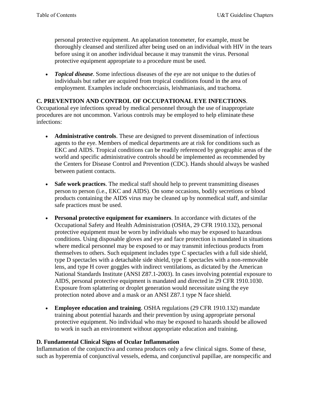personal protective equipment. An applanation tonometer, for example, must be thoroughly cleansed and sterilized after being used on an individual with HIV in the tears before using it on another individual because it may transmit the virus. Personal protective equipment appropriate to a procedure must be used.

• *Topical disease*. Some infectious diseases of the eye are not unique to the duties of individuals but rather are acquired from tropical conditions found in the area of employment. Examples include onchocerciasis, leishmaniasis, and trachoma.

#### **C. PREVENTION AND CONTROL OF OCCUPATIONAL EYE INFECTIONS**.

Occupational eye infections spread by medical personnel through the use of inappropriate procedures are not uncommon. Various controls may be employed to help eliminate these infections:

- **Administrative controls**. These are designed to prevent dissemination of infectious agents to the eye. Members of medical departments are at risk for conditions such as EKC and AIDS. Tropical conditions can be readily referenced by geographic areas of the world and specific administrative controls should be implemented as recommended by the Centers for Disease Control and Prevention (CDC). Hands should always be washed between patient contacts.
- **Safe work practices**. The medical staff should help to prevent transmitting diseases person to person (i.e., EKC and AIDS). On some occasions, bodily secretions or blood products containing the AIDS virus may be cleaned up by nonmedical staff, and similar safe practices must be used.
- **Personal protective equipment for examiners**. In accordance with dictates of the Occupational Safety and Health Administration (OSHA, 29 CFR 1910.132), personal protective equipment must be worn by individuals who may be exposed to hazardous conditions. Using disposable gloves and eye and face protection is mandated in situations where medical personnel may be exposed to or may transmit infectious products from themselves to others. Such equipment includes type C spectacles with a full side shield, type D spectacles with a detachable side shield, type E spectacles with a non-removable lens, and type H cover goggles with indirect ventilations, as dictated by the American National Standards Institute (ANSI Z87.1-2003). In cases involving potential exposure to AIDS, personal protective equipment is mandated and directed in 29 CFR 1910.1030. Exposure from splattering or droplet generation would necessitate using the eye protection noted above and a mask or an ANSI Z87.1 type N face shield.
- **Employee education and training**. OSHA regulations (29 CFR 1910.132) mandate training about potential hazards and their prevention by using appropriate personal protective equipment. No individual who may be exposed to hazards should be allowed to work in such an environment without appropriate education and training.

#### **D. Fundamental Clinical Signs of Ocular Inflammation**

Inflammation of the conjunctiva and cornea produces only a few clinical signs. Some of these, such as hyperemia of conjunctival vessels, edema, and conjunctival papillae, are nonspecific and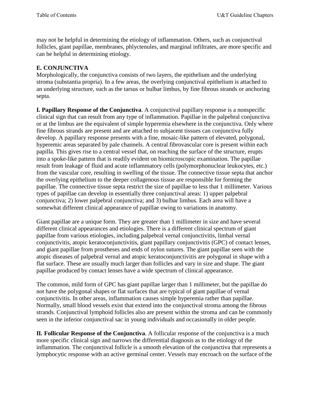may not be helpful in determining the etiology of inflammation. Others, such as conjunctival follicles, giant papillae, membranes, phlyctenules, and marginal infiltrates, are more specific and can be helpful in determining etiology.

## **E. CONJUNCTIVA**

Morphologically, the conjunctiva consists of two layers, the epithelium and the underlying stroma (substantia propria). In a few areas, the overlying conjunctival epithelium is attached to an underlying structure, such as the tarsus or bulbar limbus, by fine fibrous strands or anchoring septa.

**I. Papillary Response of the Conjunctiva**. A conjunctival papillary response is a nonspecific clinical sign that can result from any type of inflammation. Papillae in the palpebral conjunctiva or at the limbus are the equivalent of simple hyperemia elsewhere in the conjunctiva. Only where fine fibrous strands are present and are attached to subjacent tissues can conjunctiva fully develop. A papillary response presents with a fine, mosaic-like pattern of elevated, polygonal, hyperemic areas separated by pale channels. A central fibrovascular core is present within each papilla. This gives rise to a central vessel that, on reaching the surface of the structure, erupts into a spoke-like pattern that is readily evident on biomicroscopic examination. The papillae result from leakage of fluid and acute inflammatory cells (polymorphonuclear leukocytes, etc.) from the vascular core, resulting in swelling of the tissue. The connective tissue septa that anchor the overlying epithelium to the deeper collagenous tissue are responsible for forming the papillae. The connective tissue septa restrict the size of papillae to less that 1 millimeter. Various types of papillae can develop in essentially three conjunctival areas: 1) upper palpebral conjunctiva; 2) lower palpebral conjunctiva; and 3) bulbar limbus. Each area will have a somewhat different clinical appearance of papillae owing to variations in anatomy.

Giant papillae are a unique form. They are greater than 1 millimeter in size and have several different clinical appearances and etiologies. There is a different clinical spectrum of giant papillae from various etiologies, including palpebral vernal conjunctivitis, limbal vernal conjunctivitis, atopic keratoconjunctivitis, giant papillary conjunctivitis (GPC) of contact lenses, and giant papillae from prostheses and ends of nylon sutures. The giant papillae seen with the atopic diseases of palpebral vernal and atopic keratoconjunctivitis are polygonal in shape with a flat surface. These are usually much larger than follicles and vary in size and shape. The giant papillae produced by contact lenses have a wide spectrum of clinical appearance.

The common, mild form of GPC has giant papillae larger than 1 millimeter, but the papillae do not have the polygonal shapes or flat surfaces that are typical of giant papillae of vernal conjunctivitis. In other areas, inflammation causes simple hyperemia rather than papillae. Normally, small blood vessels exist that extend into the conjunctival stroma among the fibrous strands. Conjunctival lymphoid follicles also are present within the stroma and can be commonly seen in the inferior conjunctival sac in young individuals and occasionally in older people.

**II. Follicular Response of the Conjunctiva**. A follicular response of the conjunctiva is a much more specific clinical sign and narrows the differential diagnosis as to the etiology of the inflammation. The conjunctival follicle is a smooth elevation of the conjunctiva that represents a lymphocytic response with an active germinal center. Vessels may encroach on the surface ofthe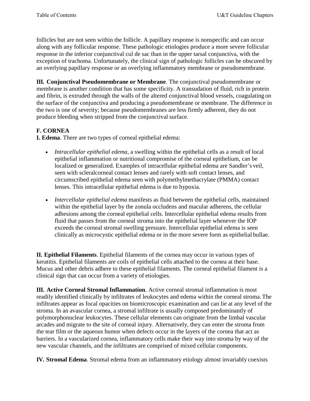follicles but are not seen within the follicle. A papillary response is nonspecific and can occur along with any follicular response. These pathologic etiologies produce a more severe follicular response in the inferior conjunctival cul de sac than in the upper tarsal conjunctiva, with the exception of trachoma. Unfortunately, the clinical sign of pathologic follicles can be obscured by an overlying papillary response or an overlying inflammatory membrane or pseudomembrane.

**III. Conjunctival Pseudomembrane or Membrane**. The conjunctival pseudomembrane or membrane is another condition that has some specificity. A transudation of fluid, rich in protein and fibrin, is extruded through the walls of the altered conjunctival blood vessels, coagulating on the surface of the conjunctiva and producing a pseudomembrane or membrane. The difference in the two is one of severity; because pseudomembranes are less firmly adherent, they do not produce bleeding when stripped from the conjunctival surface.

## **F. CORNEA**

**I. Edema**. There are two types of corneal epithelial edema:

- *Intracellular epithelial edema*, a swelling within the epithelial cells as a result of local epithelial inflammation or nutritional compromise of the corneal epithelium, can be localized or generalized. Examples of intracellular epithelial edema are Sandler's veil, seen with scleralcorneal contact lenses and rarely with soft contact lenses, and circumscribed epithelial edema seen with polymethylmethacrylate (PMMA) contact lenses. This intracellular epithelial edema is due to hypoxia.
- *Intercellular epithelial edema* manifests as fluid between the epithelial cells, maintained within the epithelial layer by the zonula occludens and macular adherens, the cellular adhesions among the corneal epithelial cells. Intercellular epithelial edema results from fluid that passes from the corneal stroma into the epithelial layer whenever the IOP exceeds the corneal stromal swelling pressure. Intercellular epithelial edema is seen clinically as microcystic epithelial edema or in the more severe form as epithelial bullae.

**II. Epithelial Filaments**. Epithelial filaments of the cornea may occur in various types of keratitis. Epithelial filaments are coils of epithelial cells attached to the cornea at their base. Mucus and other debris adhere to these epithelial filaments. The corneal epithelial filament is a clinical sign that can occur from a variety of etiologies.

**III. Active Corneal Stromal Inflammation**. Active corneal stromal inflammation is most readily identified clinically by infiltrates of leukocytes and edema within the corneal stroma.The infiltrates appear as focal opacities on biomicroscopic examination and can lie at any level of the stroma. In an avascular cornea, a stromal infiltrate is usually composed predominantly of polymorphonuclear leukocytes. These cellular elements can originate from the limbal vascular arcades and migrate to the site of corneal injury. Alternatively, they can enter the stroma from the tear film or the aqueous humor when defects occur in the layers of the cornea that act as barriers. In a vascularized cornea, inflammatory cells make their way into stroma by way of the new vascular channels, and the infiltrates are comprised of mixed cellular components.

**IV. Stromal Edema**. Stromal edema from an inflammatory etiology almost invariably coexists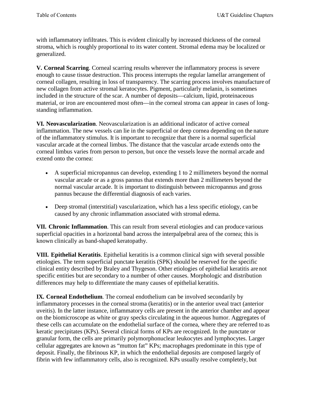with inflammatory infiltrates. This is evident clinically by increased thickness of the corneal stroma, which is roughly proportional to its water content. Stromal edema may be localized or generalized.

**V. Corneal Scarring**. Corneal scarring results wherever the inflammatory process is severe enough to cause tissue destruction. This process interrupts the regular lamellar arrangement of corneal collagen, resulting in loss of transparency. The scarring process involves manufacture of new collagen from active stromal keratocytes. Pigment, particularly melanin, is sometimes included in the structure of the scar. A number of deposits—calcium, lipid, proteinaceous material, or iron are encountered most often—in the corneal stroma can appear in cases of longstanding inflammation.

**VI. Neovascularization**. Neovascularization is an additional indicator of active corneal inflammation. The new vessels can lie in the superficial or deep cornea depending on the nature of the inflammatory stimulus. It is important to recognize that there is a normal superficial vascular arcade at the corneal limbus. The distance that the vascular arcade extends onto the corneal limbus varies from person to person, but once the vessels leave the normal arcade and extend onto the cornea:

- A superficial micropannus can develop, extending 1 to 2 millimeters beyond the normal vascular arcade or as a gross pannus that extends more than 2 millimeters beyond the normal vascular arcade. It is important to distinguish between micropannus and gross pannus because the differential diagnosis of each varies.
- Deep stromal (interstitial) vascularization, which has a less specific etiology, can be caused by any chronic inflammation associated with stromal edema.

**VII. Chronic Inflammation**. This can result from several etiologies and can produce various superficial opacities in a horizontal band across the interpalpebral area of the cornea; this is known clinically as band-shaped keratopathy.

**VIII. Epithelial Keratitis**. Epithelial keratitis is a common clinical sign with several possible etiologies. The term superficial punctate keratitis (SPK) should be reserved for the specific clinical entity described by Braley and Thygeson. Other etiologies of epithelial keratitis are not specific entities but are secondary to a number of other causes. Morphologic and distribution differences may help to differentiate the many causes of epithelial keratitis.

**IX. Corneal Endothelium**. The corneal endothelium can be involved secondarily by inflammatory processes in the corneal stroma (keratitis) or in the anterior uveal tract (anterior uveitis). In the latter instance, inflammatory cells are present in the anterior chamber and appear on the biomicroscope as white or gray specks circulating in the aqueous humor. Aggregates of these cells can accumulate on the endothelial surface of the cornea, where they are referred to as keratic precipitates (KPs). Several clinical forms of KPs are recognized. In the punctate or granular form, the cells are primarily polymorphonuclear leukocytes and lymphocytes. Larger cellular aggregates are known as "mutton fat" KPs; macrophages predominate in this type of deposit. Finally, the fibrinous KP, in which the endothelial deposits are composed largely of fibrin with few inflammatory cells, also is recognized. KPs usually resolve completely, but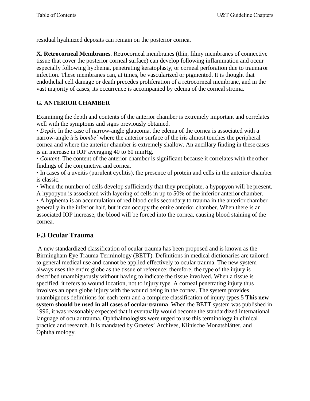residual hyalinized deposits can remain on the posterior cornea.

**X. Retrocorneal Membranes**. Retrocorneal membranes (thin, filmy membranes of connective tissue that cover the posterior corneal surface) can develop following inflammation and occur especially following hyphema, penetrating keratoplasty, or corneal perforation due to trauma or infection. These membranes can, at times, be vascularized or pigmented. It is thought that endothelial cell damage or death precedes proliferation of a retrocorneal membrane, and in the vast majority of cases, its occurrence is accompanied by edema of the cornealstroma.

## **G. ANTERIOR CHAMBER**

Examining the depth and contents of the anterior chamber is extremely important and correlates well with the symptoms and signs previously obtained.

• *Depth*. In the case of narrow-angle glaucoma, the edema of the cornea is associated with a narrow-angle *iris bombe*´ where the anterior surface of the iris almost touches the peripheral cornea and where the anterior chamber is extremely shallow. An ancillary finding in these cases is an increase in IOP averaging 40 to 60 mmHg.

• *Content*. The content of the anterior chamber is significant because it correlates with the other findings of the conjunctiva and cornea.

• In cases of a uveitis (purulent cyclitis), the presence of protein and cells in the anterior chamber is classic.

• When the number of cells develop sufficiently that they precipitate, a hypopyon will be present. A hypopyon is associated with layering of cells in up to 50% of the inferior anterior chamber. • A hyphema is an accumulation of red blood cells secondary to trauma in the anterior chamber generally in the inferior half, but it can occupy the entire anterior chamber. When there is an associated IOP increase, the blood will be forced into the cornea, causing blood staining of the cornea.

## **F.3 Ocular Trauma**

A new standardized classification of ocular trauma has been proposed and is known as the Birmingham Eye Trauma Terminology (BETT). Definitions in medical dictionaries are tailored to general medical use and cannot be applied effectively to ocular trauma. The new system always uses the entire globe as the tissue of reference; therefore, the type of the injury is described unambiguously without having to indicate the tissue involved. When a tissue is specified, it refers to wound location, not to injury type. A corneal penetrating injury thus involves an open globe injury with the wound being in the cornea. The system provides unambiguous definitions for each term and a complete classification of injury types.5 **This new system should be used in all cases of ocular trauma**. When the BETT system was published in 1996, it was reasonably expected that it eventually would become the standardized international language of ocular trauma. Ophthalmologists were urged to use this terminology in clinical practice and research. It is mandated by Graefes' Archives, Klinische Monatsblätter, and Ophthalmology.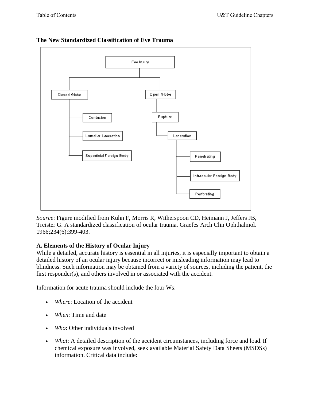

#### **The New Standardized Classification of Eye Trauma**

*Source*: Figure modified from Kuhn F, Morris R, Witherspoon CD, Heimann J, Jeffers JB, Treister G. A standardized classification of ocular trauma. Graefes Arch Clin Ophthalmol. 1966;234(6):399-403.

#### **A. Elements of the History of Ocular Injury**

While a detailed, accurate history is essential in all injuries, it is especially important to obtain a detailed history of an ocular injury because incorrect or misleading information may lead to blindness. Such information may be obtained from a variety of sources, including the patient, the first responder(s), and others involved in or associated with the accident.

Information for acute trauma should include the four Ws:

- *Where*: Location of the accident
- *When*: Time and date
- *Who*: Other individuals involved
- *What*: A detailed description of the accident circumstances, including force and load. If chemical exposure was involved, seek available Material Safety Data Sheets (MSDSs) information. Critical data include: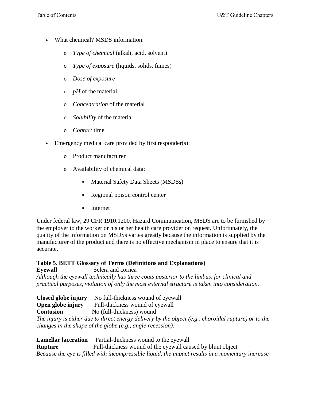- What chemical? MSDS information:
	- o *Type of chemical* (alkali, acid, solvent)
	- o *Type of exposure* (liquids, solids, fumes)
	- o *Dose of exposure*
	- o *pH* of the material
	- o *Concentration* of the material
	- o *Solubility* of the material
	- o *Contact* time
- Emergency medical care provided by first responder(s):
	- o Product manufacturer
	- o Availability of chemical data:
		- Material Safety Data Sheets (MSDSs)
		- Regional poison control center
		- **Internet**

Under federal law, 29 CFR 1910.1200, Hazard Communication, MSDS are to be furnished by the employer to the worker or his or her health care provider on request. Unfortunately, the quality of the information on MSDSs varies greatly because the information is supplied by the manufacturer of the product and there is no effective mechanism in place to ensure that it is accurate.

#### **Table 5. BETT Glossary of Terms (Definitions and Explanations) Eyewall** Sclera and cornea

*Although the eyewall technically has three coats posterior to the limbus, for clinical and practical purposes, violation of only the most external structure is taken into consideration.* 

**Closed globe injury** No full-thickness wound of eyewall **Open globe injury** Full-thickness wound of eyewall Full-thickness wound of eyewall **Contusion** No (full-thickness) wound

*The injury is either due to direct energy delivery by the object (e.g., choroidal rupture) or to the changes in the shape of the globe (e.g., angle recession).* 

**Lamellar laceration** Partial-thickness wound to the eyewall **Rupture** Full-thickness wound of the eyewall caused by blunt object *Because the eye is filled with incompressible liquid, the impact results in a momentary increase*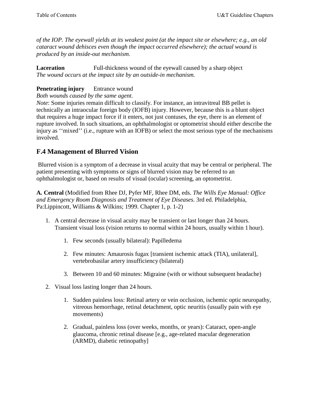*of the IOP. The eyewall yields at its weakest point (at the impact site or elsewhere; e.g., an old cataract wound dehisces even though the impact occurred elsewhere); the actual wound is produced by an inside-out mechanism.* 

**Laceration** Full-thickness wound of the eyewall caused by a sharp object *The wound occurs at the impact site by an outside-in mechanism.* 

#### **Penetrating injury** Entrance wound

*Both wounds caused by the same agent.* 

*Note*: Some injuries remain difficult to classify. For instance, an intravitreal BB pellet is technically an intraocular foreign body (IOFB) injury. However, because this is a blunt object that requires a huge impact force if it enters, not just contuses, the eye, there is an element of rupture involved. In such situations, an ophthalmologist or optometrist should either describe the injury as ''mixed'' (i.e., rupture with an IOFB) or select the most serious type of the mechanisms involved.

## **F.4 Management of Blurred Vision**

Blurred vision is a symptom of a decrease in visual acuity that may be central or peripheral. The patient presenting with symptoms or signs of blurred vision may be referred to an ophthalmologist or, based on results of visual (ocular) screening, an optometrist.

**A. Central** (Modified from Rhee DJ, Pyfer MF, Rhee DM, eds. *The Wills Eye Manual: Office and Emergency Room Diagnosis and Treatment of Eye Diseases*. 3rd ed. Philadelphia, Pa:Lippincott, Williams & Wilkins; 1999. Chapter 1, p. 1-2)

- 1. A central decrease in visual acuity may be transient or last longer than 24 hours. Transient visual loss (vision returns to normal within 24 hours, usually within 1 hour).
	- 1. Few seconds (usually bilateral): Papilledema
	- 2. Few minutes: Amaurosis fugax [transient ischemic attack (TIA), unilateral], vertebrobasilar artery insufficiency (bilateral)
	- 3. Between 10 and 60 minutes: Migraine (with or without subsequent headache)
- 2. Visual loss lasting longer than 24 hours.
	- 1. Sudden painless loss: Retinal artery or vein occlusion, ischemic optic neuropathy, vitreous hemorrhage, retinal detachment, optic neuritis (usually pain with eye movements)
	- 2. Gradual, painless loss (over weeks, months, or years): Cataract, open-angle glaucoma, chronic retinal disease [e.g., age-related macular degeneration (ARMD), diabetic retinopathy]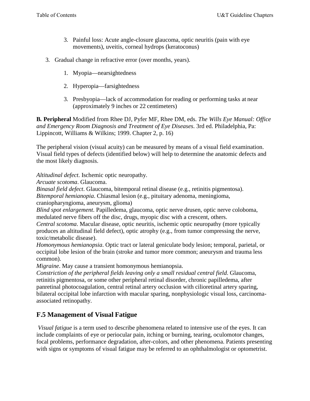- 3. Painful loss: Acute angle-closure glaucoma, optic neuritis (pain with eye movements), uveitis, corneal hydrops (keratoconus)
- 3. Gradual change in refractive error (over months, years).
	- 1. Myopia—nearsightedness
	- 2. Hyperopia—farsightedness
	- 3. Presbyopia—lack of accommodation for reading or performing tasks at near (approximately 9 inches or 22 centimeters)

**B. Peripheral** Modified from Rhee DJ, Pyfer MF, Rhee DM, eds. *The Wills Eye Manual: Office and Emergency Room Diagnosis and Treatment of Eye Diseases*. 3rd ed. Philadelphia, Pa: Lippincott, Williams & Wilkins; 1999. Chapter 2, p. 16)

The peripheral vision (visual acuity) can be measured by means of a visual field examination. Visual field types of defects (identified below) will help to determine the anatomic defects and the most likely diagnosis.

*Altitudinal defect*. Ischemic optic neuropathy.

*Arcuate scotoma*. Glaucoma.

*Binasal field defect*. Glaucoma, bitemporal retinal disease (e.g., retinitis pigmentosa).

*Bitemporal hemianopia*. Chiasmal lesion (e.g., pituitary adenoma, meningioma,

craniopharyngioma, aneurysm, glioma)

*Blind spot enlargement*. Papilledema, glaucoma, optic nerve drusen, optic nerve coloboma, medulated nerve fibers off the disc, drugs, myopic disc with a crescent, others.

*Central scotoma*. Macular disease, optic neuritis, ischemic optic neuropathy (more typically produces an altitudinal field defect), optic atrophy (e.g., from tumor compressing the nerve, toxic/metabolic disease).

*Homonymous hemianopsia*. Optic tract or lateral geniculate body lesion; temporal, parietal, or occipital lobe lesion of the brain (stroke and tumor more common; aneurysm and trauma less common).

*Migraine*. May cause a transient homonymous hemianopsia.

*Constriction of the peripheral fields leaving only a small residual central field*. Glaucoma, retinitis pigmentosa, or some other peripheral retinal disorder, chronic papilledema, after panretinal photocoagulation, central retinal artery occlusion with cilioretinal artery sparing, bilateral occipital lobe infarction with macular sparing, nonphysiologic visual loss, carcinomaassociated retinopathy.

## **F.5 Management of Visual Fatigue**

*Visual fatigue* is a term used to describe phenomena related to intensive use of the eyes. It can include complaints of eye or periocular pain, itching or burning, tearing, oculomotor changes, focal problems, performance degradation, after-colors, and other phenomena. Patients presenting with signs or symptoms of visual fatigue may be referred to an ophthalmologist or optometrist.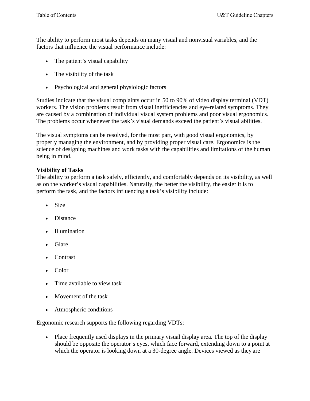The ability to perform most tasks depends on many visual and nonvisual variables, and the factors that influence the visual performance include:

- The patient's visual capability
- The visibility of the task
- Psychological and general physiologic factors

Studies indicate that the visual complaints occur in 50 to 90% of video display terminal (VDT) workers. The vision problems result from visual inefficiencies and eye-related symptoms. They are caused by a combination of individual visual system problems and poor visual ergonomics. The problems occur whenever the task's visual demands exceed the patient's visual abilities.

The visual symptoms can be resolved, for the most part, with good visual ergonomics, by properly managing the environment, and by providing proper visual care. Ergonomics is the science of designing machines and work tasks with the capabilities and limitations of the human being in mind.

#### **Visibility of Tasks**

The ability to perform a task safely, efficiently, and comfortably depends on its visibility, as well as on the worker's visual capabilities. Naturally, the better the visibility, the easier it is to perform the task, and the factors influencing a task's visibility include:

- Size
- Distance
- Illumination
- Glare
- Contrast
- Color
- Time available to view task
- Movement of the task
- Atmospheric conditions

Ergonomic research supports the following regarding VDTs:

• Place frequently used displays in the primary visual display area. The top of the display should be opposite the operator's eyes, which face forward, extending down to a point at which the operator is looking down at a 30-degree angle. Devices viewed as they are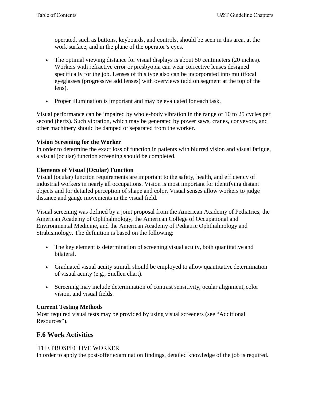operated, such as buttons, keyboards, and controls, should be seen in this area, at the work surface, and in the plane of the operator's eyes.

- The optimal viewing distance for visual displays is about 50 centimeters (20 inches). Workers with refractive error or presbyopia can wear corrective lenses designed specifically for the job. Lenses of this type also can be incorporated into multifocal eyeglasses (progressive add lenses) with overviews (add on segment at the top of the lens).
- Proper illumination is important and may be evaluated for each task.

Visual performance can be impaired by whole-body vibration in the range of 10 to 25 cycles per second (hertz). Such vibration, which may be generated by power saws, cranes, conveyors, and other machinery should be damped or separated from the worker.

#### **Vision Screening for the Worker**

In order to determine the exact loss of function in patients with blurred vision and visual fatigue, a visual (ocular) function screening should be completed.

#### **Elements of Visual (Ocular) Function**

Visual (ocular) function requirements are important to the safety, health, and efficiency of industrial workers in nearly all occupations. Vision is most important for identifying distant objects and for detailed perception of shape and color. Visual senses allow workers to judge distance and gauge movements in the visual field.

Visual screening was defined by a joint proposal from the American Academy of Pediatrics, the American Academy of Ophthalmology, the American College of Occupational and Environmental Medicine, and the American Academy of Pediatric Ophthalmology and Strabismology. The definition is based on the following:

- The key element is determination of screening visual acuity, both quantitative and bilateral.
- Graduated visual acuity stimuli should be employed to allow quantitative determination of visual acuity (e.g., Snellen chart).
- Screening may include determination of contrast sensitivity, ocular alignment, color vision, and visual fields.

#### **Current Testing Methods**

Most required visual tests may be provided by using visual screeners (see "Additional Resources").

## **F.6 Work Activities**

#### THE PROSPECTIVE WORKER

In order to apply the post-offer examination findings, detailed knowledge of the job is required.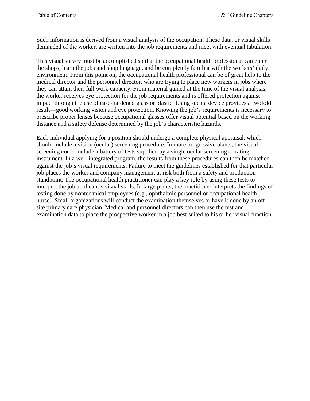Such information is derived from a visual analysis of the occupation. These data, or visual skills demanded of the worker, are written into the job requirements and meet with eventual tabulation.

This visual survey must be accomplished so that the occupational health professional can enter the shops, learn the jobs and shop language, and be completely familiar with the workers' daily environment. From this point on, the occupational health professional can be of great help to the medical director and the personnel director, who are trying to place new workers in jobs where they can attain their full work capacity. From material gained at the time of the visual analysis, the worker receives eye protection for the job requirements and is offered protection against impact through the use of case-hardened glass or plastic. Using such a device provides a twofold result—good working vision and eye protection. Knowing the job's requirements is necessary to prescribe proper lenses because occupational glasses offer visual potential based on the working distance and a safety defense determined by the job's characteristic hazards.

Each individual applying for a position should undergo a complete physical appraisal, which should include a vision (ocular) screening procedure. In more progressive plants, the visual screening could include a battery of tests supplied by a single ocular screening or rating instrument. In a well-integrated program, the results from these procedures can then be matched against the job's visual requirements. Failure to meet the guidelines established for that particular job places the worker and company management at risk both from a safety and production standpoint. The occupational health practitioner can play a key role by using these tests to interpret the job applicant's visual skills. In large plants, the practitioner interprets the findings of testing done by nontechnical employees (e.g., ophthalmic personnel or occupational health nurse). Small organizations will conduct the examination themselves or have it done by an offsite primary care physician. Medical and personnel directors can then use the test and examination data to place the prospective worker in a job best suited to his or her visual function.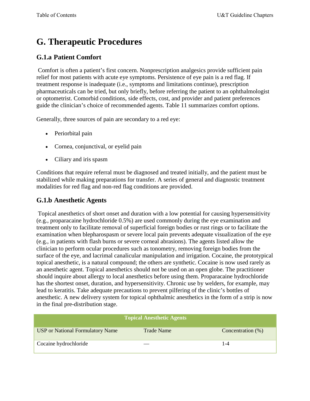# <span id="page-41-0"></span>**G. Therapeutic Procedures**

## **G.1.a Patient Comfort**

Comfort is often a patient's first concern. Nonprescription analgesics provide sufficient pain relief for most patients with acute eye symptoms. Persistence of eye pain is a red flag. If treatment response is inadequate (i.e., symptoms and limitations continue), prescription pharmaceuticals can be tried, but only briefly, before referring the patient to an ophthalmologist or optometrist. Comorbid conditions, side effects, cost, and provider and patient preferences guide the clinician's choice of recommended agents. Table 11 summarizes comfort options.

Generally, three sources of pain are secondary to a red eye:

- Periorbital pain
- Cornea, conjunctival, or eyelid pain
- Ciliary and iris spasm

Conditions that require referral must be diagnosed and treated initially, and the patient must be stabilized while making preparations for transfer. A series of general and diagnostic treatment modalities for red flag and non-red flag conditions are provided.

## **G.1.b Anesthetic Agents**

Topical anesthetics of short onset and duration with a low potential for causing hypersensitivity (e.g., proparacaine hydrochloride 0.5%) are used commonly during the eye examination and treatment only to facilitate removal of superficial foreign bodies or rust rings or to facilitate the examination when blepharospasm or severe local pain prevents adequate visualization of the eye (e.g., in patients with flash burns or severe corneal abrasions). The agents listed allow the clinician to perform ocular procedures such as tonometry, removing foreign bodies from the surface of the eye, and lacrimal canalicular manipulation and irrigation. Cocaine, the prototypical topical anesthetic, is a natural compound; the others are synthetic. Cocaine is now used rarely as an anesthetic agent. Topical anesthetics should not be used on an open globe. The practitioner should inquire about allergy to local anesthetics before using them. Proparacaine hydrochloride has the shortest onset, duration, and hypersensitivity. Chronic use by welders, for example, may lead to keratitis. Take adequate precautions to prevent pilfering of the clinic's bottles of anesthetic. A new delivery system for topical ophthalmic anesthetics in the form of a strip is now in the final pre-distribution stage.

|                                         | <b>Topical Anesthetic Agents</b> |                      |
|-----------------------------------------|----------------------------------|----------------------|
| <b>USP</b> or National Formulatory Name | <b>Trade Name</b>                | Concentration $(\%)$ |
| Cocaine hydrochloride                   |                                  | 1-4                  |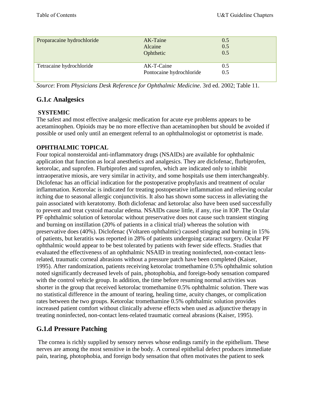| Proparacaine hydrochloride | AK-Taine<br>Alcaine<br>Ophthetic       | 0.5<br>0.5<br>0.5 |
|----------------------------|----------------------------------------|-------------------|
| Tetracaine hydrochloride   | AK-T-Caine<br>Pontocaine hydrochloride | 0.5<br>0.5        |

*Source*: From *Physicians Desk Reference for Ophthalmic Medicine*. 3rd ed. 2002; Table 11.

### **G.1.c Analgesics**

#### **SYSTEMIC**

The safest and most effective analgesic medication for acute eye problems appears to be acetaminophen. Opioids may be no more effective than acetaminophen but should be avoided if possible or used only until an emergent referral to an ophthalmologist or optometrist is made.

### **OPHTHALMIC TOPICAL**

Four topical nonsteroidal anti-inflammatory drugs (NSAIDs) are available for ophthalmic application that function as local anesthetics and analgesics. They are diclofenac, flurbiprofen, ketorolac, and suprofen. Flurbiprofen and suprofen, which are indicated only to inhibit intraoperative miosis, are very similar in activity, and some hospitals use them interchangeably. Diclofenac has an official indication for the postoperative prophylaxis and treatment of ocular inflammation. Ketorolac is indicated for treating postoperative inflammation and relieving ocular itching due to seasonal allergic conjunctivitis. It also has shown some success in alleviating the pain associated with keratotomy. Both diclofenac and ketorolac also have been used successfully to prevent and treat cystoid macular edema. NSAIDs cause little, if any, rise in IOP. The Ocular PF ophthalmic solution of ketorolac without preservative does not cause such transient stinging and burning on instillation (20% of patients in a clinical trial) whereas the solution with preservative does (40%). Diclofenac (Voltaren ophthalmic) caused stinging and burning in 15% of patients, but keratitis was reported in 28% of patients undergoing cataract surgery. Ocular PF ophthalmic would appear to be best tolerated by patients with fewer side effects. Studies that evaluated the effectiveness of an ophthalmic NSAID in treating noninfected, non-contact lensrelated, traumatic corneal abrasions without a pressure patch have been completed (Kaiser, 1995). After randomization, patients receiving ketorolac tromethamine 0.5% ophthalmic solution noted significantly decreased levels of pain, photophobia, and foreign-body sensation compared with the control vehicle group. In addition, the time before resuming normal activities was shorter in the group that received ketorolac tromethamine 0.5% ophthalmic solution. There was no statistical difference in the amount of tearing, healing time, acuity changes, or complication rates between the two groups. Ketorolac tromethamine 0.5% ophthalmic solution provides increased patient comfort without clinically adverse effects when used as adjunctive therapy in treating noninfected, non-contact lens-related traumatic corneal abrasions (Kaiser, 1995).

## **G.1.d Pressure Patching**

The cornea is richly supplied by sensory nerves whose endings ramify in the epithelium. These nerves are among the most sensitive in the body. A corneal epithelial defect produces immediate pain, tearing, photophobia, and foreign body sensation that often motivates the patient to seek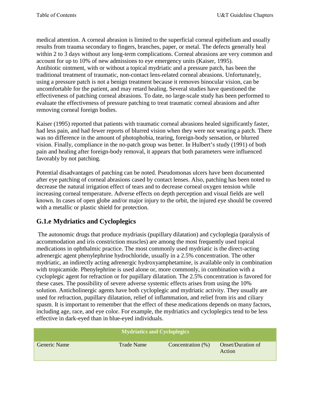medical attention. A corneal abrasion is limited to the superficial corneal epithelium and usually results from trauma secondary to fingers, branches, paper, or metal. The defects generally heal within 2 to 3 days without any long-term complications. Corneal abrasions are very common and account for up to 10% of new admissions to eye emergency units (Kaiser, 1995). Antibiotic ointment, with or without a topical mydriatic and a pressure patch, has been the traditional treatment of traumatic, non-contact lens-related corneal abrasions. Unfortunately, using a pressure patch is not a benign treatment because it removes binocular vision, can be uncomfortable for the patient, and may retard healing. Several studies have questioned the effectiveness of patching corneal abrasions. To date, no large-scale study has been performed to evaluate the effectiveness of pressure patching to treat traumatic corneal abrasions and after removing corneal foreign bodies.

Kaiser (1995) reported that patients with traumatic corneal abrasions healed significantly faster, had less pain, and had fewer reports of blurred vision when they were not wearing a patch. There was no difference in the amount of photophobia, tearing, foreign-body sensation, or blurred vision. Finally, compliance in the no-patch group was better. In Hulbert's study (1991) of both pain and healing after foreign-body removal, it appears that both parameters were influenced favorably by not patching.

Potential disadvantages of patching can be noted. Pseudomonas ulcers have been documented after eye patching of corneal abrasions cased by contact lenses. Also, patching has been noted to decrease the natural irrigation effect of tears and to decrease corneal oxygen tension while increasing corneal temperature. Adverse effects on depth perception and visual fields are well known. In cases of open globe and/or major injury to the orbit, the injured eye should be covered with a metallic or plastic shield for protection.

## **G.1.e Mydriatics and Cycloplegics**

The autonomic drugs that produce mydriasis (pupillary dilatation) and cycloplegia (paralysis of accommodation and iris constriction muscles) are among the most frequently used topical medications in ophthalmic practice. The most commonly used mydriatic is the direct-acting adrenergic agent phenylephrine hydrochloride, usually in a 2.5% concentration. The other mydriatic, an indirectly acting adrenergic hydroxyamphetamine, is available only in combination with tropicamide. Phenylephrine is used alone or, more commonly, in combination with a cycloplegic agent for refraction or for pupillary dilatation. The 2.5% concentration is favored for these cases. The possibility of severe adverse systemic effects arises from using the 10% solution. Anticholinergic agents have both cycloplegic and mydriatic activity. They usually are used for refraction, pupillary dilatation, relief of inflammation, and relief from iris and ciliary spasm. It is important to remember that the effect of these medications depends on many factors, including age, race, and eye color. For example, the mydriatics and cycloplegics tend to be less effective in dark-eyed than in blue-eyed individuals.

| <b>Mydriatics and Cycloplegics</b> |                   |                      |                             |
|------------------------------------|-------------------|----------------------|-----------------------------|
| <b>Generic Name</b>                | <b>Trade Name</b> | Concentration $(\%)$ | Onset/Duration of<br>Action |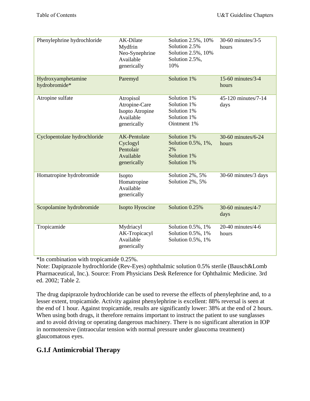| Phenylephrine hydrochloride         | AK-Dilate<br>Mydfrin<br>Neo-Synephrine<br>Available<br>generically        | Solution 2.5%, 10%<br>Solution 2.5%<br>Solution 2.5%, 10%<br>Solution 2.5%,<br>10% | 30-60 minutes/3-5<br>hours  |
|-------------------------------------|---------------------------------------------------------------------------|------------------------------------------------------------------------------------|-----------------------------|
| Hydroxyamphetamine<br>hydrobromide* | Paremyd                                                                   | Solution 1%                                                                        | 15-60 minutes/3-4<br>hours  |
| Atropine sulfate                    | Atropisol<br>Atropine-Care<br>Isopto Atropine<br>Available<br>generically | Solution 1%<br>Solution 1%<br>Solution 1%<br>Solution 1%<br>Ointment 1%            | 45-120 minutes/7-14<br>days |
| Cyclopentolate hydrochloride        | AK-Pentolate<br>Cyclogyl<br>Pentolair<br>Available<br>generically         | Solution 1%<br>Solution 0.5%, 1%,<br>2%<br>Solution 1%<br>Solution 1%              | 30-60 minutes/6-24<br>hours |
| Homatropine hydrobromide            | Isopto<br>Homatropine<br>Available<br>generically                         | Solution 2%, 5%<br>Solution 2%, 5%                                                 | 30-60 minutes/3 days        |
| Scopolamine hydrobromide            | Isopto Hyoscine                                                           | Solution 0.25%                                                                     | 30-60 minutes/4-7<br>days   |
| Tropicamide                         | Mydriacyl<br>AK-Tropicacyl<br>Available<br>generically                    | Solution 0.5%, 1%<br>Solution 0.5%, 1%<br>Solution 0.5%, 1%                        | 20-40 minutes/4-6<br>hours  |

\*In combination with tropicamide 0.25%.

Note: Dapiprazole hydrochloride (Rev-Eyes) ophthalmic solution 0.5% sterile (Bausch&Lomb Pharmaceutical, Inc.). Source: From Physicians Desk Reference for Ophthalmic Medicine. 3rd ed. 2002; Table 2.

The drug dapiprazole hydrochloride can be used to reverse the effects of phenylephrine and, to a lesser extent, tropicamide. Activity against phenylephrine is excellent: 88% reversal is seen at the end of 1 hour. Against tropicamide, results are significantly lower: 38% at the end of 2 hours. When using both drugs, it therefore remains important to instruct the patient to use sunglasses and to avoid driving or operating dangerous machinery. There is no significant alteration in IOP in normotensive (intraocular tension with normal pressure under glaucoma treatment) glaucomatous eyes.

## **G.1.f Antimicrobial Therapy**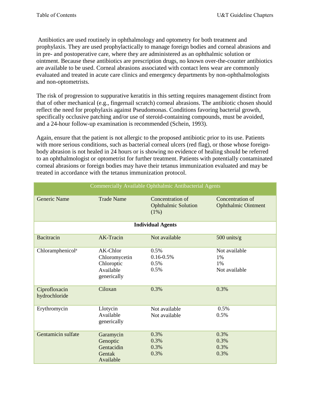Antibiotics are used routinely in ophthalmology and optometry for both treatment and prophylaxis. They are used prophylactically to manage foreign bodies and corneal abrasions and in pre- and postoperative care, where they are administered as an ophthalmic solution or ointment. Because these antibiotics are prescription drugs, no known over-the-counter antibiotics are available to be used. Corneal abrasions associated with contact lens wear are commonly evaluated and treated in acute care clinics and emergency departments by non-ophthalmologists and non-optometrists.

The risk of progression to suppurative keratitis in this setting requires management distinct from that of other mechanical (e.g., fingernail scratch) corneal abrasions. The antibiotic chosen should reflect the need for prophylaxis against Pseudomonas. Conditions favoring bacterial growth, specifically occlusive patching and/or use of steroid-containing compounds, must be avoided, and a 24-hour follow-up examination is recommended (Schein, 1993).

Again, ensure that the patient is not allergic to the proposed antibiotic prior to its use. Patients with more serious conditions, such as bacterial corneal ulcers (red flag), or those whose foreignbody abrasion is not healed in 24 hours or is showing no evidence of healing should be referred to an ophthalmologist or optometrist for further treatment. Patients with potentially contaminated corneal abrasions or foreign bodies may have their tetanus immunization evaluated and may be treated in accordance with the tetanus immunization protocol.

| Commercially Available Ophthalmic Antibacterial Agents |                                                                     |                                                        |                                                |
|--------------------------------------------------------|---------------------------------------------------------------------|--------------------------------------------------------|------------------------------------------------|
| <b>Generic Name</b>                                    | <b>Trade Name</b>                                                   | Concentration of<br><b>Ophthalmic Solution</b><br>(1%) | Concentration of<br><b>Ophthalmic Ointment</b> |
| <b>Individual Agents</b>                               |                                                                     |                                                        |                                                |
| <b>Bacitracin</b>                                      | <b>AK-Tracin</b>                                                    | Not available                                          | 500 units/g                                    |
| Chloramphenicol <sup>a</sup>                           | AK-Chlor<br>Chloromycetin<br>Chloroptic<br>Available<br>generically | 0.5%<br>$0.16 - 0.5\%$<br>0.5%<br>0.5%                 | Not available<br>1%<br>1%<br>Not available     |
| Ciprofloxacin<br>hydrochloride                         | Ciloxan                                                             | 0.3%                                                   | 0.3%                                           |
| Erythromycin                                           | Llotycin<br>Available<br>generically                                | Not available<br>Not available                         | 0.5%<br>0.5%                                   |
| Gentamicin sulfate                                     | Garamycin<br>Genoptic<br>Gentacidin<br>Gentak<br>Available          | 0.3%<br>0.3%<br>0.3%<br>0.3%                           | 0.3%<br>0.3%<br>0.3%<br>0.3%                   |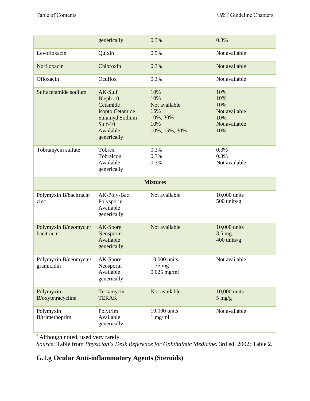|                                     | generically                                                                                                        | 0.3%                                                                   | 0.3%                                                              |
|-------------------------------------|--------------------------------------------------------------------------------------------------------------------|------------------------------------------------------------------------|-------------------------------------------------------------------|
|                                     |                                                                                                                    |                                                                        |                                                                   |
| Levofloxacin                        | Quixin                                                                                                             | 0.5%                                                                   | Not available                                                     |
| Norfloxacin                         | Chibroxin                                                                                                          | 0.3%                                                                   | Not available                                                     |
| Ofloxacin                           | Ocuflox                                                                                                            | 0.3%                                                                   | Not available                                                     |
| Sulfacetamide sodium                | AK-Sulf<br>Bleph-10<br>Cetamide<br>Isopto Cetamide<br><b>Sulamyd Sodium</b><br>Sulf-10<br>Available<br>generically | 10%<br>10%<br>Not available<br>15%<br>10%, 30%<br>10%<br>10%, 15%, 30% | 10%<br>10%<br>10%<br>Not available<br>10%<br>Not available<br>10% |
| Tobramycin sulfate                  | Tobrex<br>Tobralcon<br>Available<br>generically                                                                    | 0.3%<br>0.3%<br>0.3%                                                   | 0.3%<br>0.3%<br>Not available                                     |
|                                     |                                                                                                                    | <b>Mixtures</b>                                                        |                                                                   |
| Polymyxin B/bacitracin<br>zinc      | AK-Poly-Bac<br>Polysporin<br>Available<br>generically                                                              | Not available                                                          | 10,000 units<br>500 units/g                                       |
| Polymyxin B/neomycin/<br>bacitracin | AK-Spore<br>Neosporin<br>Available<br>generically                                                                  | Not available                                                          | 10,000 units<br>$3.5$ mg<br>400 units/g                           |
| Polymyxin B/neomycin/<br>gramicidin | AK-Spore<br>Neosporin<br>Available<br>generically                                                                  | 10,000 units<br>$1.75$ mg<br>$0.025$ mg/ml                             | Not available                                                     |
| Polymyxin<br>B/oxytetracycline      | Terramycin<br><b>TERAK</b>                                                                                         | Not available                                                          | 10,000 units<br>$5 \text{ mg/g}$                                  |
| Polymyxin<br>B/trimethoprim         | Polytrim<br>Available<br>generically                                                                               | 10,000 units<br>$1$ mg/ml                                              | Not available                                                     |

<sup>a</sup> Although noted, used very rarely.

*Source*: Table from *Physician's Desk Reference for Ophthalmic Medicine*. 3rd ed. 2002; Table 2.

## **G.1.g Ocular Anti-inflammatory Agents (Steroids)**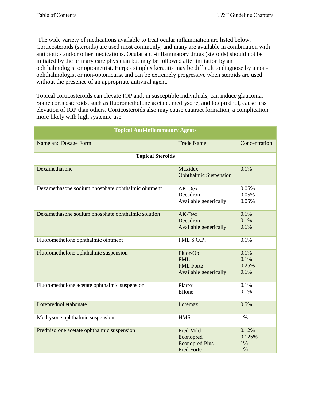The wide variety of medications available to treat ocular inflammation are listed below. Corticosteroids (steroids) are used most commonly, and many are available in combination with antibiotics and/or other medications. Ocular anti-inflammatory drugs (steroids) should not be initiated by the primary care physician but may be followed after initiation by an ophthalmologist or optometrist. Herpes simplex keratitis may be difficult to diagnose by a nonophthalmologist or non-optometrist and can be extremely progressive when steroids are used without the presence of an appropriate antiviral agent.

Topical corticosteroids can elevate IOP and, in susceptible individuals, can induce glaucoma. Some corticosteroids, such as fluorometholone acetate, medrysone, and loteprednol, cause less elevation of IOP than others. Corticosteroids also may cause cataract formation, a complication more likely with high systemic use.

| <b>Topical Anti-inflammatory Agents</b>            |                                                                      |                               |
|----------------------------------------------------|----------------------------------------------------------------------|-------------------------------|
| Name and Dosage Form                               | <b>Trade Name</b>                                                    | Concentration                 |
| <b>Topical Steroids</b>                            |                                                                      |                               |
| Dexamethasone                                      | Maxidex<br><b>Ophthalmic Suspension</b>                              | 0.1%                          |
| Dexamethasone sodium phosphate ophthalmic ointment | AK-Dex<br>Decadron<br>Available generically                          | 0.05%<br>0.05%<br>0.05%       |
| Dexamethasone sodium phosphate ophthalmic solution | AK-Dex<br>Decadron<br>Available generically                          | 0.1%<br>0.1%<br>0.1%          |
| Fluorometholone ophthalmic ointment                | FML S.O.P.                                                           | 0.1%                          |
| Fluorometholone ophthalmic suspension              | Fluor-Op<br><b>FML</b><br><b>FML</b> Forte<br>Available generically  | 0.1%<br>0.1%<br>0.25%<br>0.1% |
| Fluorometholone acetate ophthalmic suspension      | Flarex<br>Eflone                                                     | 0.1%<br>0.1%                  |
| Loteprednol etabonate                              | Lotemax                                                              | 0.5%                          |
| Medrysone ophthalmic suspension                    | <b>HMS</b>                                                           | 1%                            |
| Prednisolone acetate ophthalmic suspension         | Pred Mild<br>Econopred<br><b>Econopred Plus</b><br><b>Pred Forte</b> | 0.12%<br>0.125%<br>1%<br>1%   |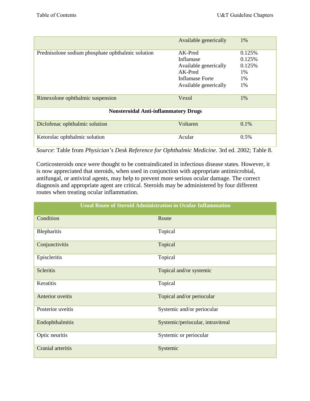|                                                   | Available generically | $1\%$  |  |
|---------------------------------------------------|-----------------------|--------|--|
| Prednisolone sodium phosphate ophthalmic solution | $AK-Pred$             | 0.125% |  |
|                                                   | Inflamase             | 0.125% |  |
|                                                   | Available generically | 0.125% |  |
|                                                   | $AK-Pred$             | 1%     |  |
|                                                   | Inflamase Forte       | 1%     |  |
|                                                   | Available generically | 1%     |  |
|                                                   |                       |        |  |
| Rimexolone ophthalmic suspension                  | Vexol                 | 1%     |  |
| <b>Nonsteroidal Anti-inflammatory Drugs</b>       |                       |        |  |
| Diclofenac ophthalmic solution                    | Voltaren              | 0.1%   |  |
| Ketorolac ophthalmic solution                     | Acular                | 0.5%   |  |

*Source*: Table from *Physician's Desk Reference for Ophthalmic Medicine*. 3rd ed. 2002; Table 8.

Corticosteroids once were thought to be contraindicated in infectious disease states. However, it is now appreciated that steroids, when used in conjunction with appropriate antimicrobial, antifungal, or antiviral agents, may help to prevent more serious ocular damage. The correct diagnosis and appropriate agent are critical. Steroids may be administered by four different routes when treating ocular inflammation.

| <b>Usual Route of Steroid Administration in Ocular Inflammation</b> |                                   |  |
|---------------------------------------------------------------------|-----------------------------------|--|
| Condition                                                           | Route                             |  |
| Blepharitis                                                         | Topical                           |  |
| Conjunctivitis                                                      | Topical                           |  |
| Episcleritis                                                        | Topical                           |  |
| <b>Scleritis</b>                                                    | Topical and/or systemic           |  |
| Keratitis                                                           | Topical                           |  |
| Anterior uveitis                                                    | Topical and/or periocular         |  |
| Posterior uveitis                                                   | Systemic and/or periocular        |  |
| Endophthalmitis                                                     | Systemic/periocular, intravitreal |  |
| Optic neuritis                                                      | Systemic or periocular            |  |
| Cranial arteritis                                                   | Systemic                          |  |